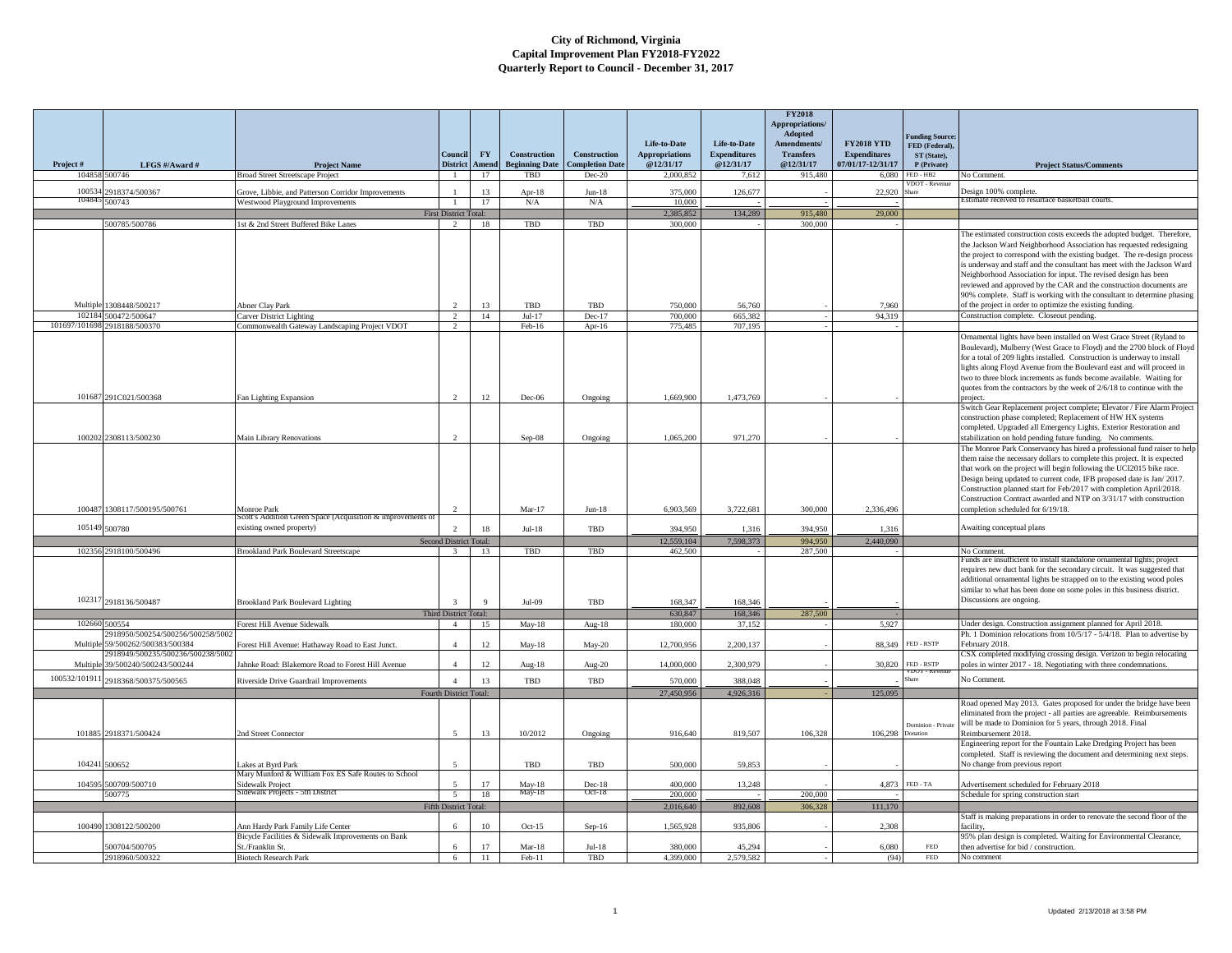|               |                                                  |                                                                                        |                              |             |                                              |                                        |                                    |                                  | <b>FY2018</b><br>Appropriations/<br>Adopted |                                          |                                         |                                                                                                                                                   |
|---------------|--------------------------------------------------|----------------------------------------------------------------------------------------|------------------------------|-------------|----------------------------------------------|----------------------------------------|------------------------------------|----------------------------------|---------------------------------------------|------------------------------------------|-----------------------------------------|---------------------------------------------------------------------------------------------------------------------------------------------------|
|               |                                                  |                                                                                        |                              |             |                                              |                                        | Life-to-Date                       | Life-to-Date                     | Amendments/                                 | <b>FY2018 YTD</b>                        | unding Source:<br>FED (Federal),        |                                                                                                                                                   |
|               |                                                  |                                                                                        | Conneil<br><b>District</b>   | <b>FY</b>   | <b>Construction</b><br><b>Beginning Date</b> | Construction<br><b>Completion Date</b> | <b>Appropriations</b><br>@12/31/17 | <b>Expenditures</b><br>@12/31/17 | <b>Transfers</b><br>@12/31/17               | <b>Expenditures</b><br>07/01/17-12/31/17 | ST (State),                             |                                                                                                                                                   |
| Project#      | LFGS #/Award #<br>104858 500746                  | <b>Project Name</b><br><b>Broad Street Streetscape Project</b>                         | $\mathbf{1}$                 | Amend<br>17 | TBD                                          | $Dec-20$                               | 2,000,852                          | 7,612                            | 915,480                                     | 6,080                                    | P (Private)<br>FED - HB2                | <b>Project Status/Comments</b><br>No Comment.                                                                                                     |
| 100534        |                                                  |                                                                                        |                              |             |                                              |                                        |                                    |                                  |                                             |                                          |                                         |                                                                                                                                                   |
| 10484         | 2918374/500367<br>500743                         | Grove, Libbie, and Patterson Corridor Improvements<br>Westwood Playground Improvements | $\mathbf{1}$                 | 13<br>17    | Apr- $18$<br>N/A                             | $Jun-18$<br>N/A                        | 375,000<br>10,000                  | 126,677                          |                                             | 22,920                                   |                                         | Design 100% complete.<br>Estimate received to resurface basketball courts                                                                         |
|               |                                                  |                                                                                        | <b>First District Total:</b> |             |                                              |                                        | 2,385,852                          | 134,289                          | 915,480                                     | 29,000                                   |                                         |                                                                                                                                                   |
|               | 500785/500786                                    | 1st & 2nd Street Buffered Bike Lanes                                                   | $\mathcal{D}$                | 18          | TBD                                          | TBD                                    | 300,000                            |                                  | 300,000                                     |                                          |                                         |                                                                                                                                                   |
|               |                                                  |                                                                                        |                              |             |                                              |                                        |                                    |                                  |                                             |                                          |                                         | The estimated construction costs exceeds the adopted budget. Therefore,<br>the Jackson Ward Neighborhood Association has requested redesigning    |
|               |                                                  |                                                                                        |                              |             |                                              |                                        |                                    |                                  |                                             |                                          |                                         | the project to correspond with the existing budget. The re-design process                                                                         |
|               |                                                  |                                                                                        |                              |             |                                              |                                        |                                    |                                  |                                             |                                          |                                         | is underway and staff and the consultant has meet with the Jackson Ward                                                                           |
|               |                                                  |                                                                                        |                              |             |                                              |                                        |                                    |                                  |                                             |                                          |                                         | Neighborhood Association for input. The revised design has been                                                                                   |
|               |                                                  |                                                                                        |                              |             |                                              |                                        |                                    |                                  |                                             |                                          |                                         | reviewed and approved by the CAR and the construction documents are<br>90% complete. Staff is working with the consultant to determine phasing    |
| Multiple      | 1308448/500217                                   | <b>Abner Clay Park</b>                                                                 |                              | 13          | TBD                                          | TBD                                    | 750,000                            | 56,760                           |                                             | 7.960                                    |                                         | of the project in order to optimize the existing funding.                                                                                         |
|               | 102184 500472/500647                             | Carver District Lighting                                                               | $\overline{2}$               | 14          | $Jul-17$                                     | $Dec-17$                               | 700,000                            | 665.382                          |                                             | 94.319                                   |                                         | Construction complete. Closeout pending.                                                                                                          |
| 101697/101698 | 2918188/500370                                   | Commonwealth Gateway Landscaping Project VDOT                                          | $\overline{2}$               |             | $Feb-16$                                     | Apr- $16$                              | 775.485                            | 707,195                          |                                             |                                          |                                         |                                                                                                                                                   |
|               |                                                  |                                                                                        |                              |             |                                              |                                        |                                    |                                  |                                             |                                          |                                         | Ornamental lights have been installed on West Grace Street (Ryland to<br>Boulevard), Mulberry (West Grace to Floyd) and the 2700 block of Floyd   |
|               |                                                  |                                                                                        |                              |             |                                              |                                        |                                    |                                  |                                             |                                          |                                         | for a total of 209 lights installed. Construction is underway to install                                                                          |
|               |                                                  |                                                                                        |                              |             |                                              |                                        |                                    |                                  |                                             |                                          |                                         | lights along Floyd Avenue from the Boulevard east and will proceed in                                                                             |
|               |                                                  |                                                                                        |                              |             |                                              |                                        |                                    |                                  |                                             |                                          |                                         | two to three block increments as funds become available. Waiting for                                                                              |
|               | 101687 291C021/500368                            | Fan Lighting Expansion                                                                 | $\mathcal{L}$                | 12          | Dec-06                                       | Ongoing                                | 1,669,900                          | 1,473,769                        |                                             |                                          |                                         | quotes from the contractors by the week of 2/6/18 to continue with the<br>project.                                                                |
|               |                                                  |                                                                                        |                              |             |                                              |                                        |                                    |                                  |                                             |                                          |                                         | Switch Gear Replacement project complete; Elevator / Fire Alarm Project                                                                           |
|               |                                                  |                                                                                        |                              |             |                                              |                                        |                                    |                                  |                                             |                                          |                                         | construction phase completed; Replacement of HW HX systems                                                                                        |
|               | 100202 2308113/500230                            | Main Library Renovations                                                               |                              |             | Sep-08                                       | Ongoing                                | 1,065,200                          | 971,270                          |                                             |                                          |                                         | completed. Upgraded all Emergency Lights. Exterior Restoration and<br>stabilization on hold pending future funding. No comments.                  |
|               |                                                  |                                                                                        |                              |             |                                              |                                        |                                    |                                  |                                             |                                          |                                         | The Monroe Park Conservancy has hired a professional fund raiser to help                                                                          |
|               |                                                  |                                                                                        |                              |             |                                              |                                        |                                    |                                  |                                             |                                          |                                         | them raise the necessary dollars to complete this project. It is expected                                                                         |
|               |                                                  |                                                                                        |                              |             |                                              |                                        |                                    |                                  |                                             |                                          |                                         | that work on the project will begin following the UCI2015 bike race.                                                                              |
|               |                                                  |                                                                                        |                              |             |                                              |                                        |                                    |                                  |                                             |                                          |                                         | Design being updated to current code, IFB proposed date is Jan/2017.<br>Construction planned start for Feb/2017 with completion April/2018.       |
|               |                                                  |                                                                                        |                              |             |                                              |                                        |                                    |                                  |                                             |                                          |                                         | Construction Contract awarded and NTP on 3/31/17 with construction                                                                                |
| 100487        | 1308117/500195/500761                            | Monroe Park                                                                            |                              |             | $Mar-17$                                     | $Jun-18$                               | 6,903,569                          | 3,722,681                        | 300,000                                     | 2,336,496                                |                                         | completion scheduled for 6/19/18.                                                                                                                 |
| 105149        | 500780                                           | Scott's Addition Green Space (Acquisition & improvements<br>existing owned property)   | $\overline{2}$               | 18          | $Jul-18$                                     | TBD                                    | 394.950                            | 1,316                            | 394.950                                     | 1,316                                    |                                         | Awaiting conceptual plans                                                                                                                         |
|               |                                                  |                                                                                        | Second District Total:       |             |                                              |                                        | 12.559.104                         | 7.598.373                        | 994.950                                     | 2,440,090                                |                                         |                                                                                                                                                   |
|               | 102356 2918100/500496                            | Brookland Park Boulevard Streetscape                                                   | $\mathcal{R}$                | 13          | TBD                                          | TBD                                    | 462.500                            |                                  | 287.500                                     |                                          |                                         | No Comment                                                                                                                                        |
|               |                                                  |                                                                                        |                              |             |                                              |                                        |                                    |                                  |                                             |                                          |                                         | Funds are insufficient to install standalone ornamental lights; project                                                                           |
|               |                                                  |                                                                                        |                              |             |                                              |                                        |                                    |                                  |                                             |                                          |                                         | requires new duct bank for the secondary circuit. It was suggested that<br>additional ornamental lights be strapped on to the existing wood poles |
|               |                                                  |                                                                                        |                              |             |                                              |                                        |                                    |                                  |                                             |                                          |                                         | similar to what has been done on some poles in this business district.                                                                            |
|               | 102317 2918136/500487                            | <b>Brookland Park Boulevard Lighting</b>                                               |                              | $\mathbf Q$ | Jul-09                                       | TBD                                    | 168,347                            | 168,346                          |                                             |                                          |                                         | Discussions are ongoing.                                                                                                                          |
|               |                                                  |                                                                                        | Third District Total:        |             |                                              |                                        | 630,847                            | 168,346                          | 287,500                                     |                                          |                                         |                                                                                                                                                   |
|               | 102660 500554<br>918950/500254/500256/500258/500 | Forest Hill Avenue Sidewalk                                                            | $\overline{4}$               | 15          | $May-18$                                     | Aug- $18$                              | 180,000                            | 37.152                           |                                             | 5.927                                    |                                         | Under design. Construction assignment planned for April 2018.<br>Ph. 1 Dominion relocations from 10/5/17 - 5/4/18. Plan to advertise by           |
| Multiple      | 59/500262/500383/500384                          | Forest Hill Avenue: Hathaway Road to East Junct.                                       | $\Lambda$                    | 12          | $May-18$                                     | $May-20$                               | 12,700,956                         | 2,200,137                        |                                             | 88,349                                   | FED - RSTP                              | February 2018.                                                                                                                                    |
|               | 2918949/500235/500236/500238/5002                |                                                                                        |                              |             |                                              |                                        |                                    |                                  |                                             |                                          |                                         | CSX completed modifying crossing design. Verizon to begin relocating                                                                              |
| Multiple      | 39/500240/500243/500244                          | Jahnke Road: Blakemore Road to Forest Hill Avenue                                      |                              | 12          | Aug-18                                       | Aug-20                                 | 14,000,000                         | 2,300,979                        |                                             | 30.820                                   | FED - RSTP                              | poles in winter 2017 - 18. Negotiating with three condemnations.                                                                                  |
| 100532/101911 | 2918368/500375/500565                            | Riverside Drive Guardrail Improvements                                                 | $\Delta$                     | 13          | <b>TBD</b>                                   | TBD                                    | 570.000                            | 388.048                          |                                             |                                          |                                         | No Comment.                                                                                                                                       |
|               |                                                  |                                                                                        | Fourth District Total:       |             |                                              |                                        | 27,450,956                         | 4.926.316                        |                                             | 125,095                                  |                                         |                                                                                                                                                   |
|               |                                                  |                                                                                        |                              |             |                                              |                                        |                                    |                                  |                                             |                                          |                                         | Road opened May 2013. Gates proposed for under the bridge have been<br>eliminated from the project - all parties are agreeable. Reimbursements    |
|               |                                                  |                                                                                        |                              |             |                                              |                                        |                                    |                                  |                                             |                                          | Dominion - Private                      | will be made to Dominion for 5 years, through 2018. Final                                                                                         |
|               | 101885 2918371/500424                            | 2nd Street Connector                                                                   | $\leq$                       | 13          | 10/2012                                      | Ongoing                                | 916,640                            | 819,507                          | 106,328                                     | 106,298                                  | <b>Donation</b>                         | Reimbursement 2018.                                                                                                                               |
|               |                                                  |                                                                                        |                              |             |                                              |                                        |                                    |                                  |                                             |                                          |                                         | Engineering report for the Fountain Lake Dredging Project has been                                                                                |
|               | 104241 500652                                    | Lakes at Byrd Park                                                                     |                              |             | TBD                                          | TBD                                    | 500,000                            | 59,853                           |                                             |                                          |                                         | ompleted. Staff is reviewing the document and determining next steps.<br>No change from previous report                                           |
|               |                                                  | Mary Munford & William Fox ES Safe Routes to School                                    |                              |             |                                              |                                        |                                    |                                  |                                             |                                          |                                         |                                                                                                                                                   |
|               | 104595 500709/500710                             | Sidewalk Project                                                                       |                              | 17          | May-18                                       | $Dec-18$                               | 400,000                            | 13,248                           |                                             | 4.873                                    | $\ensuremath{\mathsf{FED}}\xspace$ - TA | Advertisement scheduled for February 2018                                                                                                         |
|               | 500775                                           | Sidewalk Projects - 5th District                                                       | -5                           | 18          | May-18                                       | $Oct-18$                               | 200,000                            |                                  | 200.000                                     |                                          |                                         | Schedule for spring construction start                                                                                                            |
|               |                                                  |                                                                                        | Fifth District Total:        |             |                                              |                                        | 2.016.640                          | 892,608                          | 306.328                                     | 111,170                                  |                                         | Staff is making preparations in order to renovate the second floor of the                                                                         |
|               | 100490 1308122/500200                            | Ann Hardy Park Family Life Center                                                      | 6                            | 10          | $Oct-15$                                     | $Sep-16$                               | 1,565,928                          | 935,806                          |                                             | 2.308                                    |                                         | facility,                                                                                                                                         |
|               |                                                  | Bicycle Facilities & Sidewalk Improvements on Bank                                     |                              |             |                                              |                                        |                                    |                                  |                                             |                                          |                                         | 95% plan design is completed. Waiting for Environmental Clearance,                                                                                |
|               | 00704/500705                                     | St./Franklin St.                                                                       |                              | 17          | $Mar-18$                                     | $Jul-18$                               | 380.000                            | 45.294                           |                                             | 6.080                                    | <b>FED</b>                              | then advertise for bid / construction.                                                                                                            |
|               | 2918960/500322                                   | <b>Biotech Research Park</b>                                                           | $6\overline{6}$              | 11          | $Feb-11$                                     | TBD                                    | 4,399,000                          | 2,579,582                        |                                             | (94)                                     | <b>FED</b>                              | No comment                                                                                                                                        |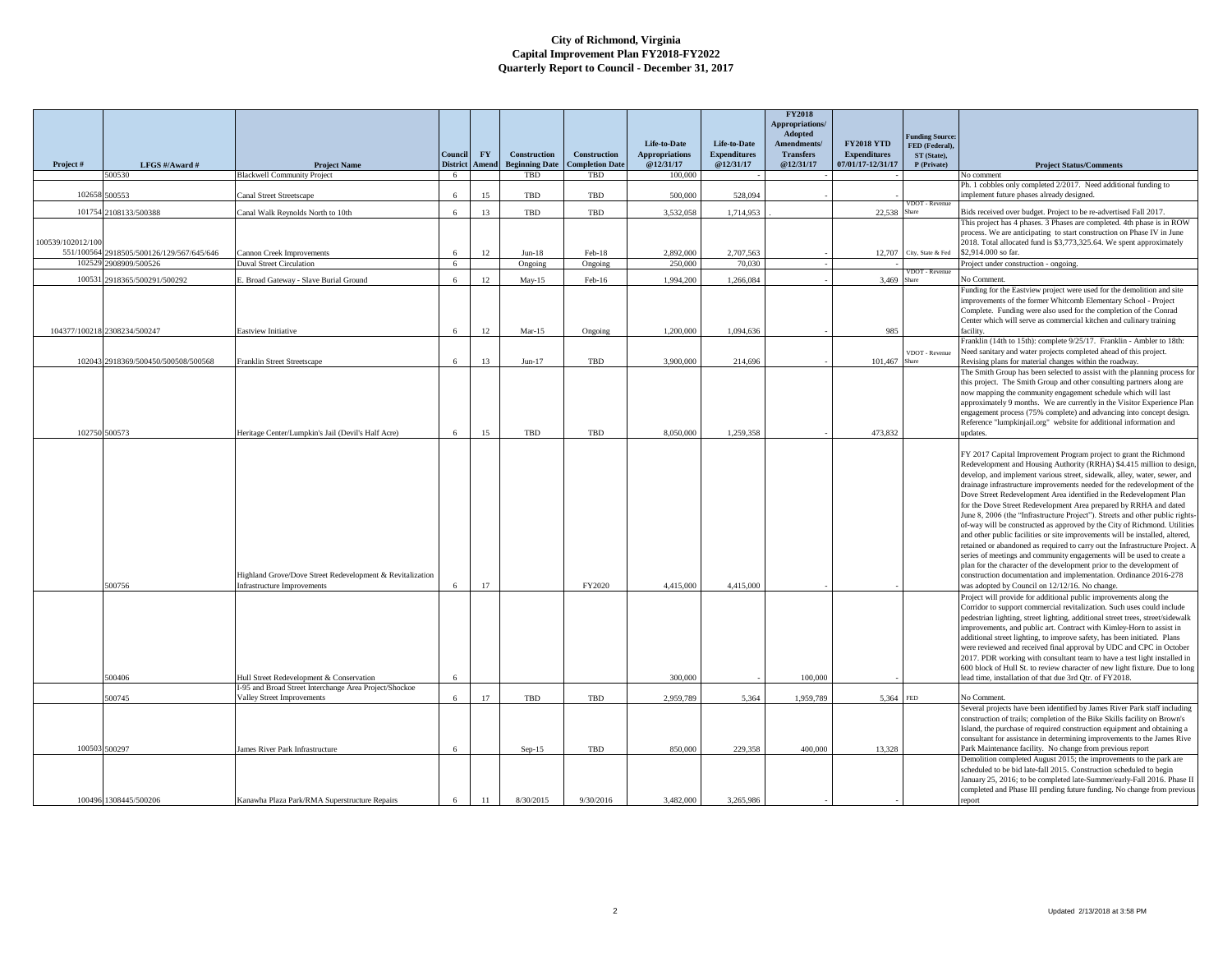|                   |                                           |                                                           |                            |           |                       |                        |                                    |                                     | <b>FY2018</b><br>Appropriations/<br>Adopted |                                          |                                         |                                                                                                                                                            |
|-------------------|-------------------------------------------|-----------------------------------------------------------|----------------------------|-----------|-----------------------|------------------------|------------------------------------|-------------------------------------|---------------------------------------------|------------------------------------------|-----------------------------------------|------------------------------------------------------------------------------------------------------------------------------------------------------------|
|                   |                                           |                                                           |                            | <b>FY</b> | <b>Construction</b>   | <b>Construction</b>    | Life-to-Date                       | Life-to-Date<br><b>Expenditures</b> | Amendments/<br><b>Transfers</b>             | <b>FY2018 YTD</b><br><b>Expenditures</b> | <b>Funding Source</b><br>FED (Federal), |                                                                                                                                                            |
| Project#          | LFGS #/Award #                            | <b>Project Name</b>                                       | Council<br><b>District</b> | Amend     | <b>Beginning Date</b> | <b>Completion Date</b> | <b>Appropriations</b><br>@12/31/17 | @12/31/17                           | @12/31/17                                   | 07/01/17-12/31/17                        | ST (State),<br>P (Private)              | <b>Project Status/Comments</b>                                                                                                                             |
|                   | 500530                                    | <b>Blackwell Community Project</b>                        | 6                          |           | TBD                   | TBD                    | 100,000                            |                                     |                                             |                                          |                                         | lo comment                                                                                                                                                 |
|                   | 102658 500553                             | Canal Street Streetscape                                  | 6                          | 15        | TBD                   | TBD                    | 500,000                            | 528,094                             |                                             |                                          | VDOT - Revenue                          | Ph. 1 cobbles only completed 2/2017. Need additional funding to<br>mplement future phases already designed.                                                |
|                   | 101754 2108133/500388                     | Canal Walk Reynolds North to 10th                         | 6                          | 13        | TBD                   | TBD                    | 3.532.058                          | 1,714,953                           |                                             | 22,538                                   |                                         | Bids received over budget. Project to be re-advertised Fall 2017.<br>This project has 4 phases. 3 Phases are completed. 4th phase is in ROW                |
| 100539/102012/100 |                                           |                                                           |                            |           |                       |                        |                                    |                                     |                                             |                                          |                                         | process. We are anticipating to start construction on Phase IV in June<br>2018. Total allocated fund is \$3,773,325.64. We spent approximately             |
|                   | 551/100564 2918505/500126/129/567/645/646 | Cannon Creek Improvements                                 | 6                          | 12        | $Jun-18$              | Feb-18                 | 2,892,000                          | 2,707,563                           |                                             | 12,707                                   | City, State & Fed                       | \$2,914.000 so far.                                                                                                                                        |
| 102529            | 2908909/500526                            | <b>Duval Street Circulation</b>                           | 6                          |           | Ongoing               | Ongoing                | 250,000                            | 70,030                              |                                             |                                          | OT - Revent                             | roject under construction - ongoing.                                                                                                                       |
| 10053             | 918365/500291/500292                      | E. Broad Gateway - Slave Burial Ground                    | 6                          | 12        | $May-15$              | Feb-16                 | 1,994,200                          | 1,266,084                           |                                             | 3,469                                    |                                         | No Comment                                                                                                                                                 |
|                   |                                           |                                                           |                            |           |                       |                        |                                    |                                     |                                             |                                          |                                         | unding for the Eastview project were used for the demolition and site<br>mprovements of the former Whitcomb Elementary School - Project                    |
|                   |                                           |                                                           |                            |           |                       |                        |                                    |                                     |                                             |                                          |                                         | Complete. Funding were also used for the completion of the Conrad                                                                                          |
|                   | 104377/100218 2308234/500247              | Eastview Initiative                                       | 6                          | 12        | $Mar-15$              |                        | 1,200,000                          | 1,094,636                           |                                             | 985                                      |                                         | Center which will serve as commercial kitchen and culinary training<br>acility.                                                                            |
|                   |                                           |                                                           |                            |           |                       | Ongoing                |                                    |                                     |                                             |                                          |                                         | Franklin (14th to 15th): complete 9/25/17. Franklin - Ambler to 18th:                                                                                      |
|                   |                                           |                                                           |                            |           |                       |                        |                                    |                                     |                                             |                                          | VDOT - Revenue                          | Need sanitary and water projects completed ahead of this project.                                                                                          |
|                   | 102043 2918369/500450/500508/500568       | Franklin Street Streetscape                               | 6                          | 13        | $Jun-17$              | TBD                    | 3,900,000                          | 214,696                             |                                             | 101,467                                  |                                         | Revising plans for material changes within the roadway.<br>The Smith Group has been selected to assist with the planning process for                       |
|                   |                                           |                                                           |                            |           |                       |                        |                                    |                                     |                                             |                                          |                                         | this project. The Smith Group and other consulting partners along are                                                                                      |
|                   |                                           |                                                           |                            |           |                       |                        |                                    |                                     |                                             |                                          |                                         | now mapping the community engagement schedule which will last                                                                                              |
|                   |                                           |                                                           |                            |           |                       |                        |                                    |                                     |                                             |                                          |                                         | approximately 9 months. We are currently in the Visitor Experience Plan<br>engagement process (75% complete) and advancing into concept design.            |
|                   |                                           |                                                           |                            |           |                       |                        |                                    |                                     |                                             |                                          |                                         | Reference "lumpkinjail.org" website for additional information and                                                                                         |
|                   | 102750 500573                             | Heritage Center/Lumpkin's Jail (Devil's Half Acre)        | 6                          | 15        | TBD                   | TBD                    | 8,050,000                          | 1.259.358                           |                                             | 473,832                                  |                                         | updates.                                                                                                                                                   |
|                   |                                           |                                                           |                            |           |                       |                        |                                    |                                     |                                             |                                          |                                         | FY 2017 Capital Improvement Program project to grant the Richmond                                                                                          |
|                   |                                           |                                                           |                            |           |                       |                        |                                    |                                     |                                             |                                          |                                         | Redevelopment and Housing Authority (RRHA) \$4.415 million to design                                                                                       |
|                   |                                           |                                                           |                            |           |                       |                        |                                    |                                     |                                             |                                          |                                         | develop, and implement various street, sidewalk, alley, water, sewer, and<br>drainage infrastructure improvements needed for the redevelopment of the      |
|                   |                                           |                                                           |                            |           |                       |                        |                                    |                                     |                                             |                                          |                                         | Dove Street Redevelopment Area identified in the Redevelopment Plan                                                                                        |
|                   |                                           |                                                           |                            |           |                       |                        |                                    |                                     |                                             |                                          |                                         | for the Dove Street Redevelopment Area prepared by RRHA and dated                                                                                          |
|                   |                                           |                                                           |                            |           |                       |                        |                                    |                                     |                                             |                                          |                                         | June 8, 2006 (the "Infrastructure Project"). Streets and other public rights-<br>of-way will be constructed as approved by the City of Richmond. Utilities |
|                   |                                           |                                                           |                            |           |                       |                        |                                    |                                     |                                             |                                          |                                         | and other public facilities or site improvements will be installed, altered,                                                                               |
|                   |                                           |                                                           |                            |           |                       |                        |                                    |                                     |                                             |                                          |                                         | retained or abandoned as required to carry out the Infrastructure Project. A                                                                               |
|                   |                                           |                                                           |                            |           |                       |                        |                                    |                                     |                                             |                                          |                                         | series of meetings and community engagements will be used to create a<br>plan for the character of the development prior to the development of             |
|                   |                                           | Highland Grove/Dove Street Redevelopment & Revitalization |                            |           |                       |                        |                                    |                                     |                                             |                                          |                                         | construction documentation and implementation. Ordinance 2016-278                                                                                          |
|                   | 500756                                    | <b>Infrastructure Improvements</b>                        | 6                          | 17        |                       | FY2020                 | 4,415,000                          | 4,415,000                           |                                             |                                          |                                         | was adopted by Council on 12/12/16. No change.<br>Project will provide for additional public improvements along the                                        |
|                   |                                           |                                                           |                            |           |                       |                        |                                    |                                     |                                             |                                          |                                         | Corridor to support commercial revitalization. Such uses could include                                                                                     |
|                   |                                           |                                                           |                            |           |                       |                        |                                    |                                     |                                             |                                          |                                         | pedestrian lighting, street lighting, additional street trees, street/sidewalk                                                                             |
|                   |                                           |                                                           |                            |           |                       |                        |                                    |                                     |                                             |                                          |                                         | improvements, and public art. Contract with Kimley-Horn to assist in<br>additional street lighting, to improve safety, has been initiated. Plans           |
|                   |                                           |                                                           |                            |           |                       |                        |                                    |                                     |                                             |                                          |                                         | were reviewed and received final approval by UDC and CPC in October                                                                                        |
|                   |                                           |                                                           |                            |           |                       |                        |                                    |                                     |                                             |                                          |                                         | 2017. PDR working with consultant team to have a test light installed in                                                                                   |
|                   | 500406                                    | Hull Street Redevelopment & Conservation                  | 6                          |           |                       |                        | 300,000                            |                                     | 100,000                                     |                                          |                                         | 600 block of Hull St. to review character of new light fixture. Due to long<br>ead time, installation of that due 3rd Qtr. of FY2018.                      |
|                   |                                           | I-95 and Broad Street Interchange Area Project/Shockoe    |                            |           |                       |                        |                                    |                                     |                                             |                                          |                                         |                                                                                                                                                            |
|                   | 500745                                    | Valley Street Improvements                                | 6                          | 17        | TBD                   | TBD                    | 2.959.789                          | 5.364                               | 1.959.789                                   | 5.364 FED                                |                                         | No Comment<br>Several projects have been identified by James River Park staff including                                                                    |
|                   |                                           |                                                           |                            |           |                       |                        |                                    |                                     |                                             |                                          |                                         | construction of trails; completion of the Bike Skills facility on Brown's                                                                                  |
|                   |                                           |                                                           |                            |           |                       |                        |                                    |                                     |                                             |                                          |                                         | sland, the purchase of required construction equipment and obtaining a                                                                                     |
|                   | 100503 500297                             | James River Park Infrastructure                           | 6                          |           | $Sep-15$              | TBD                    | 850.000                            | 229.358                             | 400.000                                     | 13,328                                   |                                         | consultant for assistance in determining improvements to the James Rive<br>Park Maintenance facility. No change from previous report                       |
|                   |                                           |                                                           |                            |           |                       |                        |                                    |                                     |                                             |                                          |                                         | Demolition completed August 2015; the improvements to the park are                                                                                         |
|                   |                                           |                                                           |                            |           |                       |                        |                                    |                                     |                                             |                                          |                                         | scheduled to be bid late-fall 2015. Construction scheduled to begin<br>anuary 25, 2016; to be completed late-Summer/early-Fall 2016. Phase II              |
|                   |                                           |                                                           |                            |           |                       |                        |                                    |                                     |                                             |                                          |                                         | completed and Phase III pending future funding. No change from previous                                                                                    |
|                   | 100496 1308445/500206                     | Kanawha Plaza Park/RMA Superstructure Repairs             |                            | 11        | 8/30/2015             | 9/30/2016              | 3,482,000                          | 3.265.986                           |                                             |                                          |                                         | report                                                                                                                                                     |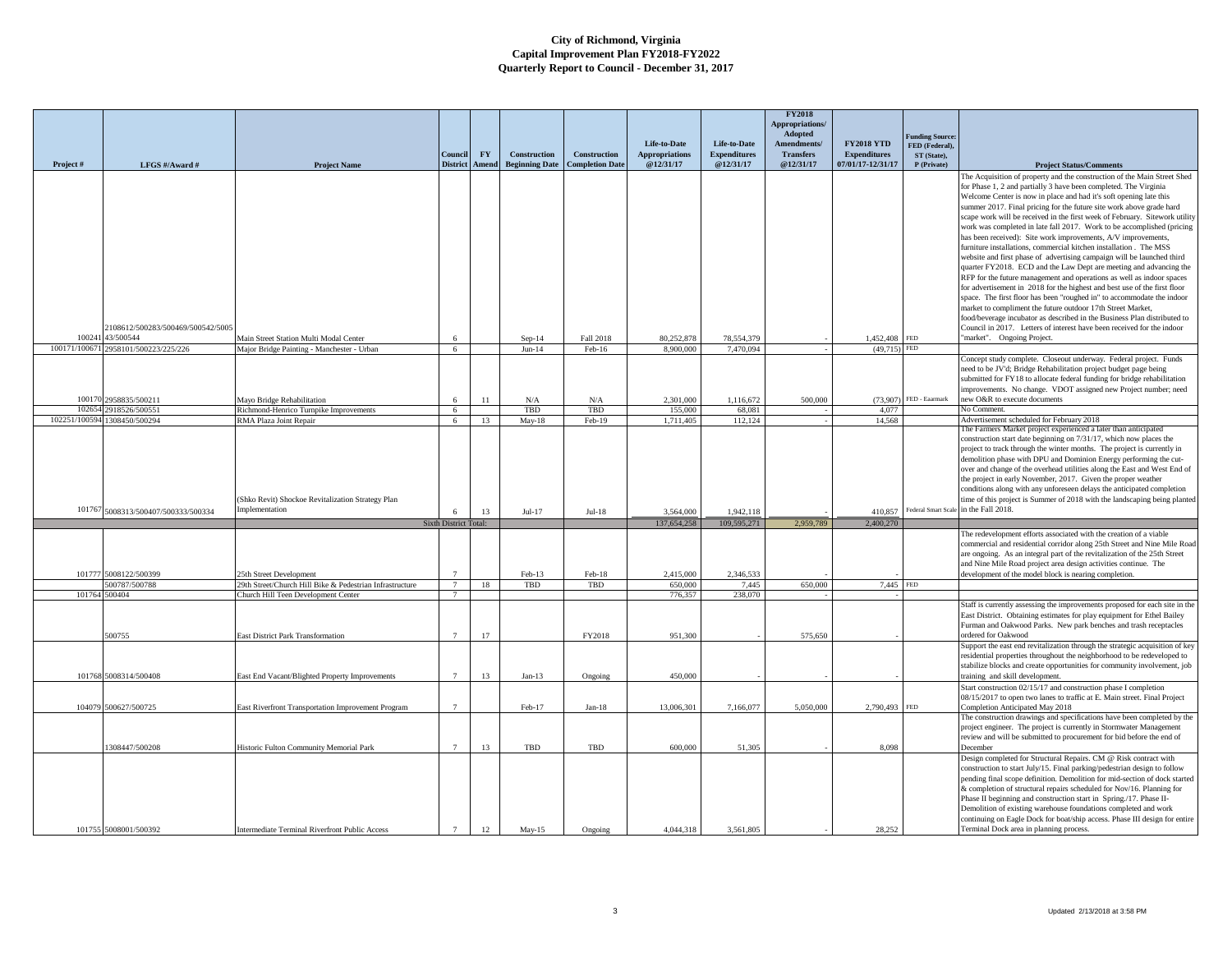|               |                                  |                                                                                                 |                       |           |                       |                        |                                       |                                     | <b>FY2018</b><br>Appropriations/<br>Adopted |                                          | <b>Funding Source</b>         |                                                                                                                                                                                                                                                                                                                                                                                                                                                                                                                                                                                                                                                                     |
|---------------|----------------------------------|-------------------------------------------------------------------------------------------------|-----------------------|-----------|-----------------------|------------------------|---------------------------------------|-------------------------------------|---------------------------------------------|------------------------------------------|-------------------------------|---------------------------------------------------------------------------------------------------------------------------------------------------------------------------------------------------------------------------------------------------------------------------------------------------------------------------------------------------------------------------------------------------------------------------------------------------------------------------------------------------------------------------------------------------------------------------------------------------------------------------------------------------------------------|
|               |                                  |                                                                                                 | Council               | <b>FY</b> | Construction          | <b>Construction</b>    | Life-to-Date<br><b>Appropriations</b> | Life-to-Date<br><b>Expenditures</b> | Amendments/<br><b>Transfers</b>             | <b>FY2018 YTD</b><br><b>Expenditures</b> | FED (Federal).<br>ST (State), |                                                                                                                                                                                                                                                                                                                                                                                                                                                                                                                                                                                                                                                                     |
| Project#      | LFGS #/Award #                   | <b>Project Name</b>                                                                             | <b>District</b>       | Amend     | <b>Beginning Date</b> | <b>Completion Date</b> | @12/31/17                             | @12/31/17                           | @12/31/17                                   | 07/01/17-12/31/17                        | P (Private)                   | <b>Project Status/Comments</b>                                                                                                                                                                                                                                                                                                                                                                                                                                                                                                                                                                                                                                      |
|               |                                  |                                                                                                 |                       |           |                       |                        |                                       |                                     |                                             |                                          |                               | The Acquisition of property and the construction of the Main Street Shed<br>for Phase 1, 2 and partially 3 have been completed. The Virginia<br>Welcome Center is now in place and had it's soft opening late this<br>summer 2017. Final pricing for the future site work above grade hard<br>scape work will be received in the first week of February. Sitework utility<br>work was completed in late fall 2017. Work to be accomplished (pricing<br>has been received): Site work improvements, A/V improvements,<br>furniture installations, commercial kitchen installation. The MSS<br>website and first phase of advertising campaign will be launched third |
|               | 108612/500283/500469/500542/5005 |                                                                                                 |                       |           |                       |                        |                                       |                                     |                                             |                                          |                               | quarter FY2018. ECD and the Law Dept are meeting and advancing the<br>RFP for the future management and operations as well as indoor spaces<br>for advertisement in 2018 for the highest and best use of the first floor<br>space. The first floor has been "roughed in" to accommodate the indoor<br>market to compliment the future outdoor 17th Street Market,<br>food/beverage incubator as described in the Business Plan distributed to<br>Council in 2017. Letters of interest have been received for the indoor                                                                                                                                             |
| 100241        | 43/500544                        | Main Street Station Multi Modal Center                                                          |                       |           | $Sep-14$              | Fall 2018              | 80,252,878                            | 78,554,379                          |                                             | 1,452,408 FED                            |                               | market". Ongoing Project.                                                                                                                                                                                                                                                                                                                                                                                                                                                                                                                                                                                                                                           |
| 100171/100671 | 2958101/500223/225/226           | Major Bridge Painting - Manchester - Urban                                                      | 6                     |           | $Jun-14$              | Feb-16                 | 8.900.000                             | 7,470,094                           |                                             | $(49,715)$ FED                           |                               |                                                                                                                                                                                                                                                                                                                                                                                                                                                                                                                                                                                                                                                                     |
| 100170        | 2958835/500211                   | Mayo Bridge Rehabilitation                                                                      | 6                     | 11        | N/A                   | N/A                    | 2.301.000                             | 1.116.672                           | 500.000                                     |                                          | (73.907) FED - Eaarmark       | Concept study complete. Closeout underway. Federal project. Funds<br>need to be JV'd; Bridge Rehabilitation project budget page being<br>submitted for FY18 to allocate federal funding for bridge rehabilitation<br>improvements. No change. VDOT assigned new Project number; need<br>new O&R to execute documents                                                                                                                                                                                                                                                                                                                                                |
|               | 102654 2918526/500551            | Richmond-Henrico Turnpike Improvements                                                          | 6                     |           | TBD                   | TBD                    | 155,000                               | 68,081                              |                                             | 4,077                                    |                               | No Comment.                                                                                                                                                                                                                                                                                                                                                                                                                                                                                                                                                                                                                                                         |
|               | 102251/100594 1308450/500294     | RMA Plaza Joint Repair<br>(Shko Revit) Shockoe Revitalization Strategy Plan                     | 6                     | 13        | $May-18$              | Feb-19                 | 1,711,405                             | 112,124                             |                                             | 14,568                                   |                               | Advertisement scheduled for February 2018<br>The Farmers Market project experienced a later than anticipated<br>construction start date beginning on 7/31/17, which now places the<br>project to track through the winter months. The project is currently in<br>demolition phase with DPU and Dominion Energy performing the cut-<br>over and change of the overhead utilities along the East and West End of<br>the project in early November, 2017. Given the proper weather<br>conditions along with any unforeseen delays the anticipated completion<br>time of this project is Summer of 2018 with the landscaping being planted                              |
| 101767        | 5008313/500407/500333/500334     | <i>mplementation</i>                                                                            | 6                     | 13        | $Jul-17$              | $Jul-18$               | 3.564,000                             | 1,942,118                           |                                             | 410,857                                  |                               | Federal Smart Scale in the Fall 2018.                                                                                                                                                                                                                                                                                                                                                                                                                                                                                                                                                                                                                               |
|               |                                  |                                                                                                 | Sixth District Total: |           |                       |                        | 137,654,258                           | 109.595.271                         | 2.959.789                                   | 2.400.270                                |                               |                                                                                                                                                                                                                                                                                                                                                                                                                                                                                                                                                                                                                                                                     |
|               | 101777 5008122/500399            | 25th Street Development                                                                         |                       |           | Feb-13                | Feb-18                 | 2,415,000                             | 2.346.533                           |                                             |                                          |                               | The redevelopment efforts associated with the creation of a viable<br>commercial and residential corridor along 25th Street and Nine Mile Road<br>are ongoing. As an integral part of the revitalization of the 25th Street<br>and Nine Mile Road project area design activities continue. The<br>development of the model block is nearing completion.                                                                                                                                                                                                                                                                                                             |
| 101764 500404 | 500787/500788                    | 29th Street/Church Hill Bike & Pedestrian Infrastructure<br>Church Hill Teen Development Center | 7<br>$\overline{7}$   | 18        | TBD                   | TBD                    | 650,000<br>776,357                    | 7,445<br>238,070                    | 650,000                                     | 7,445 FED                                |                               |                                                                                                                                                                                                                                                                                                                                                                                                                                                                                                                                                                                                                                                                     |
|               | 500755                           | <b>East District Park Transformation</b>                                                        |                       | 17        |                       | FY2018                 | 951,300                               |                                     | 575,650                                     |                                          |                               | Staff is currently assessing the improvements proposed for each site in the<br>East District. Obtaining estimates for play equipment for Ethel Bailey<br>Furman and Oakwood Parks. New park benches and trash receptacles<br>ordered for Oakwood                                                                                                                                                                                                                                                                                                                                                                                                                    |
|               | 101768 5008314/500408            | East End Vacant/Blighted Property Improvements                                                  | $7\phantom{.0}$       | 13        | $Jan-13$              | Ongoing                | 450,000                               |                                     |                                             |                                          |                               | Support the east end revitalization through the strategic acquisition of key<br>residential properties throughout the neighborhood to be redeveloped to<br>stabilize blocks and create opportunities for community involvement, job<br>training and skill development.                                                                                                                                                                                                                                                                                                                                                                                              |
|               |                                  |                                                                                                 |                       |           |                       |                        |                                       |                                     |                                             |                                          |                               | Start construction 02/15/17 and construction phase I completion                                                                                                                                                                                                                                                                                                                                                                                                                                                                                                                                                                                                     |
|               | 104079 500627/500725             | East Riverfront Transportation Improvement Program                                              | 7                     |           | Feb-17                | $Jan-18$               | 13,006,301                            | 7,166,077                           | 5,050,000                                   | 2,790,493 FED                            |                               | 08/15/2017 to open two lanes to traffic at E. Main street. Final Project<br>Completion Anticipated May 2018                                                                                                                                                                                                                                                                                                                                                                                                                                                                                                                                                         |
|               | 308447/500208                    | Historic Fulton Community Memorial Park                                                         |                       | 13        | TBD                   | TBD                    | 600.000                               | 51.305                              |                                             | 8.098                                    |                               | The construction drawings and specifications have been completed by the<br>project engineer. The project is currently in Stormwater Management<br>review and will be submitted to procurement for bid before the end of<br>December                                                                                                                                                                                                                                                                                                                                                                                                                                 |
|               | 101755 5008001/500392            | Intermediate Terminal Riverfront Public Access                                                  | 7                     | 12        | $May-15$              | Ongoing                | 4,044,318                             | 3.561.805                           |                                             | 28.252                                   |                               | Design completed for Structural Repairs. CM @ Risk contract with<br>construction to start July/15. Final parking/pedestrian design to follow<br>pending final scope definition. Demolition for mid-section of dock started<br>& completion of structural repairs scheduled for Nov/16. Planning for<br>Phase II beginning and construction start in Spring./17. Phase II-<br>Demolition of existing warehouse foundations completed and work<br>continuing on Eagle Dock for boat/ship access. Phase III design for entire<br>Terminal Dock area in planning process.                                                                                               |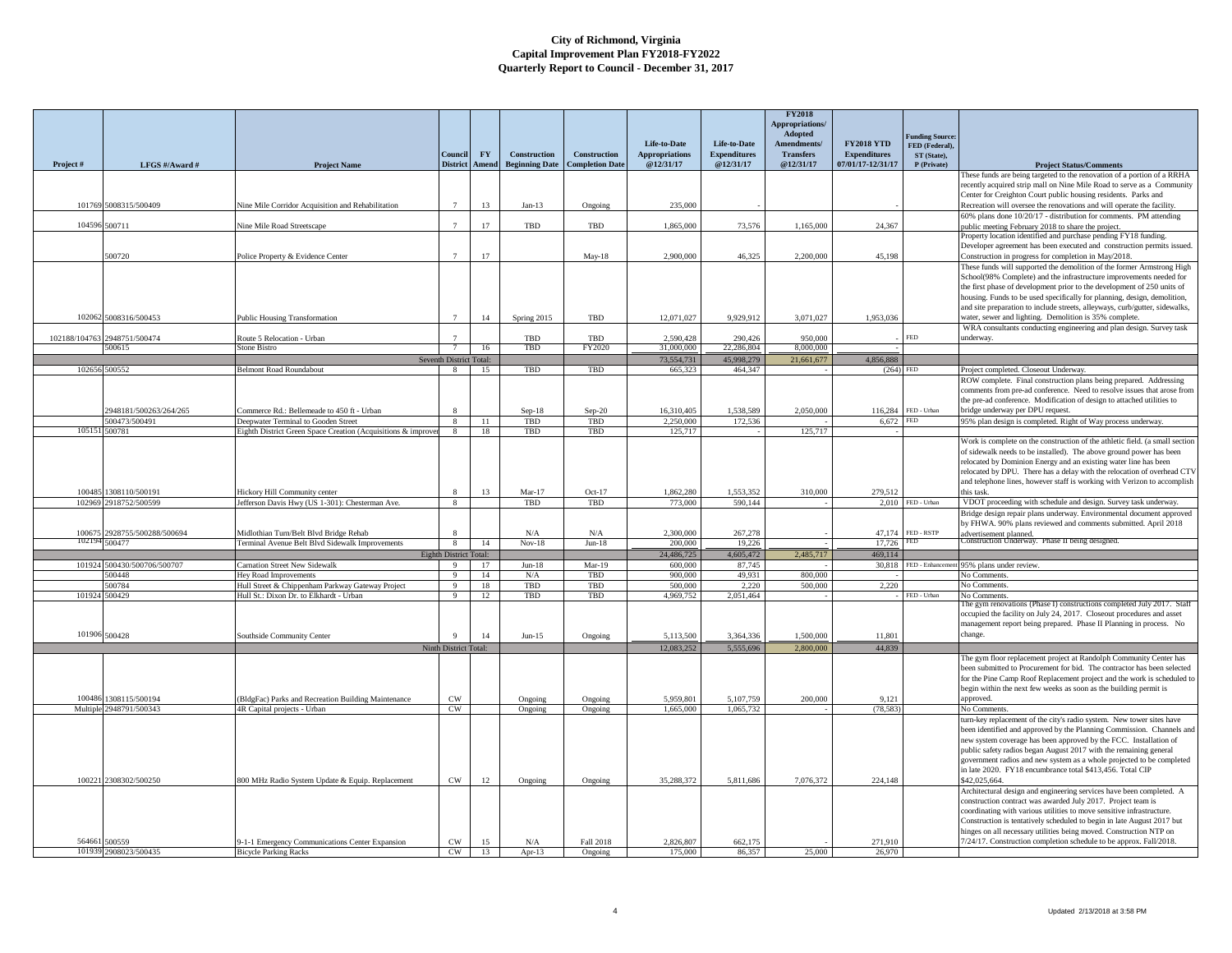|                 |                                           |                                                                                             | Conneil                      | FY       | <b>Construction</b>   | <b>Construction</b>    | Life-to-Date<br><b>Appropriations</b> | Life-to-Date<br><b>Expenditures</b> | <b>FY2018</b><br>Appropriations/<br>Adopted<br>Amendments/<br><b>Transfers</b> | <b>FY2018 YTD</b><br><b>Expenditures</b> | unding Source:<br>FED (Federal),<br>ST (State), |                                                                                                                                                                                                                                                                                                                                                                                                                                     |
|-----------------|-------------------------------------------|---------------------------------------------------------------------------------------------|------------------------------|----------|-----------------------|------------------------|---------------------------------------|-------------------------------------|--------------------------------------------------------------------------------|------------------------------------------|-------------------------------------------------|-------------------------------------------------------------------------------------------------------------------------------------------------------------------------------------------------------------------------------------------------------------------------------------------------------------------------------------------------------------------------------------------------------------------------------------|
| Project#        | LFGS #/Award #                            | <b>Project Name</b>                                                                         | <b>District</b>              | Amend    | <b>Beginning Date</b> | <b>Completion Date</b> | @12/31/17                             | @12/31/17                           | @12/31/17                                                                      | 07/01/17-12/31/17                        | P (Private)                                     | <b>Project Status/Comments</b>                                                                                                                                                                                                                                                                                                                                                                                                      |
| 101769          | 5008315/500409                            | Nine Mile Corridor Acquisition and Rehabilitation                                           |                              | 13       | $Jan-13$              | Ongoing                | 235,000                               |                                     |                                                                                |                                          |                                                 | These funds are being targeted to the renovation of a portion of a RRHA<br>recently acquired strip mall on Nine Mile Road to serve as a Community<br>Center for Creighton Court public housing residents. Parks and<br>Recreation will oversee the renovations and will operate the facility.                                                                                                                                       |
|                 |                                           |                                                                                             |                              |          |                       |                        |                                       |                                     |                                                                                |                                          |                                                 | 60% plans done 10/20/17 - distribution for comments. PM attending                                                                                                                                                                                                                                                                                                                                                                   |
| 104596          | 500711                                    | Nine Mile Road Streetscape                                                                  | $\overline{7}$               | 17       | TBD                   | TBD                    | 1,865,000                             | 73,576                              | 1,165,000                                                                      | 24,367                                   |                                                 | public meeting February 2018 to share the project.<br>Property location identified and purchase pending FY18 funding.                                                                                                                                                                                                                                                                                                               |
|                 | 500720                                    | Police Property & Evidence Center                                                           | $7\overline{ }$              | 17       |                       | May-18                 | 2,900,000                             | 46,325                              | 2,200,000                                                                      | 45,198                                   |                                                 | Developer agreement has been executed and construction permits issued.<br>Construction in progress for completion in May/2018.                                                                                                                                                                                                                                                                                                      |
|                 |                                           |                                                                                             |                              |          |                       |                        |                                       |                                     |                                                                                |                                          |                                                 | These funds will supported the demolition of the former Armstrong High<br>School(98% Complete) and the infrastructure improvements needed for<br>the first phase of development prior to the development of 250 units of<br>housing. Funds to be used specifically for planning, design, demolition,<br>and site preparation to include streets, alleyways, curb/gutter, sidewalks,                                                 |
| 102062          | 5008316/500453                            | <b>Public Housing Transformation</b>                                                        |                              | 14       | Spring 2015           | TBD                    | 12,071,027                            | 9,929,912                           | 3,071,027                                                                      | 1,953,036                                |                                                 | water, sewer and lighting. Demolition is 35% complete.<br>WRA consultants conducting engineering and plan design. Survey task                                                                                                                                                                                                                                                                                                       |
| 102188/104763   | 2948751/500474                            | Route 5 Relocation - Urban                                                                  |                              |          | TBD                   | TBD                    | 2,590,428                             | 290,426                             | 950,000                                                                        |                                          | <b>FED</b>                                      | underway.                                                                                                                                                                                                                                                                                                                                                                                                                           |
|                 | 500615                                    | <b>Stone Bistro</b>                                                                         |                              | 16       | TBD                   | FY2020                 | 31,000,000<br>73.554.731              | 22,286,804<br>45,998,279            | 8,000,000<br>21,661,677                                                        | 4,856,888                                |                                                 |                                                                                                                                                                                                                                                                                                                                                                                                                                     |
|                 | 102656 500552                             | Belmont Road Roundabout                                                                     | Seventh District Total:<br>8 | 15       | TBD                   | TBD                    | 665,323                               | 464,347                             |                                                                                | (264)                                    | <b>FED</b>                                      | Project completed. Closeout Underway.                                                                                                                                                                                                                                                                                                                                                                                               |
|                 | 948181/500263/264/265                     | Commerce Rd.: Bellemeade to 450 ft - Urban                                                  |                              |          | $Sep-18$              | $Sep-20$               | 16.310.405                            | 1.538.589                           | 2,050,000                                                                      | 116.284                                  | FED - Urban                                     | ROW complete. Final construction plans being prepared. Addressing<br>comments from pre-ad conference. Need to resolve issues that arose from<br>the pre-ad conference. Modification of design to attached utilities to<br>bridge underway per DPU request.                                                                                                                                                                          |
|                 | 500473/500491                             | Deepwater Terminal to Gooden Street                                                         | $\mathbf{R}$                 | 11       | TBD                   | TBD                    | 2.250.000                             | 172,536                             |                                                                                | 6.672                                    | <b>FED</b>                                      | 95% plan design is completed. Right of Way process underway.                                                                                                                                                                                                                                                                                                                                                                        |
| 105151          | 500781                                    | Eighth District Green Space Creation (Acquisitions & improve                                | 8                            | 18       | TBD                   | TBD                    | 125.71                                |                                     | 125.717                                                                        |                                          |                                                 |                                                                                                                                                                                                                                                                                                                                                                                                                                     |
|                 |                                           |                                                                                             |                              |          |                       |                        |                                       |                                     |                                                                                |                                          |                                                 | Work is complete on the construction of the athletic field. (a small section<br>of sidewalk needs to be installed). The above ground power has been<br>relocated by Dominion Energy and an existing water line has been<br>relocated by DPU. There has a delay with the relocation of overhead CTV<br>and telephone lines, however staff is working with Verizon to accomplish                                                      |
| 10048<br>102969 | 308110/500191<br>2918752/500599           | Hickory Hill Community center<br>Jefferson Davis Hwy (US 1-301): Chesterman Ave.            |                              | 13       | $Mar-17$<br>TBD       | Oct- $17$<br>TBD       | 1.862.280<br>773,000                  | 1.553.352<br>590,144                | 310,000                                                                        | 279,512<br>2,010                         | FED - Urban                                     | this task.<br>VDOT proceeding with schedule and design. Survey task underway.                                                                                                                                                                                                                                                                                                                                                       |
|                 |                                           |                                                                                             | 8                            |          |                       |                        |                                       |                                     |                                                                                |                                          |                                                 | Bridge design repair plans underway. Environmental document approved<br>by FHWA. 90% plans reviewed and comments submitted. April 2018                                                                                                                                                                                                                                                                                              |
| 100675<br>10219 | 2928755/500288/500694<br>500477           | Midlothian Turn/Belt Blvd Bridge Rehab<br>Terminal Avenue Belt Blvd Sidewalk Improvements   |                              | 14       | N/A<br>$Nov-18$       | $\rm N/A$<br>$Jun-18$  | 2,300,000<br>200,000                  | 267,278<br>19,226                   |                                                                                | 47.174<br>17,726                         | FED - RSTP                                      | advertisement planned.<br>Construction Underway. Phase II being designed.                                                                                                                                                                                                                                                                                                                                                           |
|                 |                                           |                                                                                             | 8<br>Eighth District Total:  |          |                       |                        | 24,486,725                            | 4,605,472                           | 2,485,717                                                                      | 469,114                                  |                                                 |                                                                                                                                                                                                                                                                                                                                                                                                                                     |
| 101924          | 500430/500706/500707                      | Carnation Street New Sidewalk                                                               | 9                            | 17       | $Jun-18$              | Mar-19                 | 600,000                               | 87,745                              |                                                                                | 30,818                                   |                                                 | FED - Enhancement 95% plans under review.                                                                                                                                                                                                                                                                                                                                                                                           |
|                 | 500448                                    | Hey Road Improvements                                                                       | 9                            | 14       | N/A                   | TBD                    | 900,000                               | 49,931                              | 800.000                                                                        |                                          |                                                 | No Comments.                                                                                                                                                                                                                                                                                                                                                                                                                        |
| 10192           | 500784<br>500429                          | Hull Street & Chippenham Parkway Gateway Project<br>Hull St.: Dixon Dr. to Elkhardt - Urban | 9<br>9                       | 18<br>12 | TBD<br>TBD            | TBD<br>TBD             | 500,000<br>4,969,752                  | 2.220<br>2,051,464                  | 500,000                                                                        | 2.220                                    | FED - Urban                                     | No Comments.<br>No Comments.                                                                                                                                                                                                                                                                                                                                                                                                        |
|                 | $101906$ $500428$                         | Southside Community Center                                                                  | $\mathbf{Q}$                 | 14       | $Jun-15$              | Ongoing                | 5.113.500                             | 3,364,336                           | 1,500,000                                                                      | 11,801                                   |                                                 | The gym renovations (Phase I) constructions completed July 2017. Staff<br>occupied the facility on July 24, 2017. Closeout procedures and asset<br>management report being prepared. Phase II Planning in process. No<br>change.                                                                                                                                                                                                    |
|                 |                                           |                                                                                             | Ninth District Total:        |          |                       |                        | 12.083.252                            | 5.555.696                           | 2,800,000                                                                      | 44,839                                   |                                                 | The gym floor replacement project at Randolph Community Center has                                                                                                                                                                                                                                                                                                                                                                  |
| 100486          | 1308115/500194<br>Multiple 2948791/500343 | (BldgFac) Parks and Recreation Building Maintenance<br>4R Capital projects - Urban          | CW<br>CW                     |          | Ongoing<br>Ongoing    | Ongoing<br>Ongoing     | 5.959.801<br>1,665,000                | 5.107.759<br>1.065.732              | 200,000                                                                        | 9,121<br>(78, 583)                       |                                                 | been submitted to Procurement for bid. The contractor has been selected<br>for the Pine Camp Roof Replacement project and the work is scheduled to<br>begin within the next few weeks as soon as the building permit is<br>approved.<br>No Comments.                                                                                                                                                                                |
|                 |                                           |                                                                                             |                              |          |                       |                        |                                       |                                     |                                                                                |                                          |                                                 | turn-key replacement of the city's radio system. New tower sites have                                                                                                                                                                                                                                                                                                                                                               |
|                 | 100221 2308302/500250                     | 800 MHz Radio System Update & Equip. Replacement                                            | CW                           | 12       | Ongoing               | Ongoing                | 35,288,372                            | 5.811.686                           | 7,076,372                                                                      | 224,148                                  |                                                 | been identified and approved by the Planning Commission. Channels and<br>new system coverage has been approved by the FCC. Installation of<br>public safety radios began August 2017 with the remaining general<br>government radios and new system as a whole projected to be completed<br>in late 2020. FY18 encumbrance total \$413,456. Total CIP<br>\$42,025,664.                                                              |
|                 | 564661 500559                             | 9-1-1 Emergency Communications Center Expansion                                             | $\mathrm{CW}$                | 15       | $\rm N/A$             | Fall 2018              | 2,826,807                             | 662,175                             |                                                                                | 271,910                                  |                                                 | Architectural design and engineering services have been completed. A<br>construction contract was awarded July 2017. Project team is<br>coordinating with various utilities to move sensitive infrastructure.<br>Construction is tentatively scheduled to begin in late August 2017 but<br>hinges on all necessary utilities being moved. Construction NTP on<br>7/24/17. Construction completion schedule to be approx. Fall/2018. |
|                 | 101939 2908023/500435                     | <b>Bicycle Parking Racks</b>                                                                | CW                           | 13       | $Apr-13$              | Ongoing                | 175,000                               | 86.357                              | 25.000                                                                         | 26.970                                   |                                                 |                                                                                                                                                                                                                                                                                                                                                                                                                                     |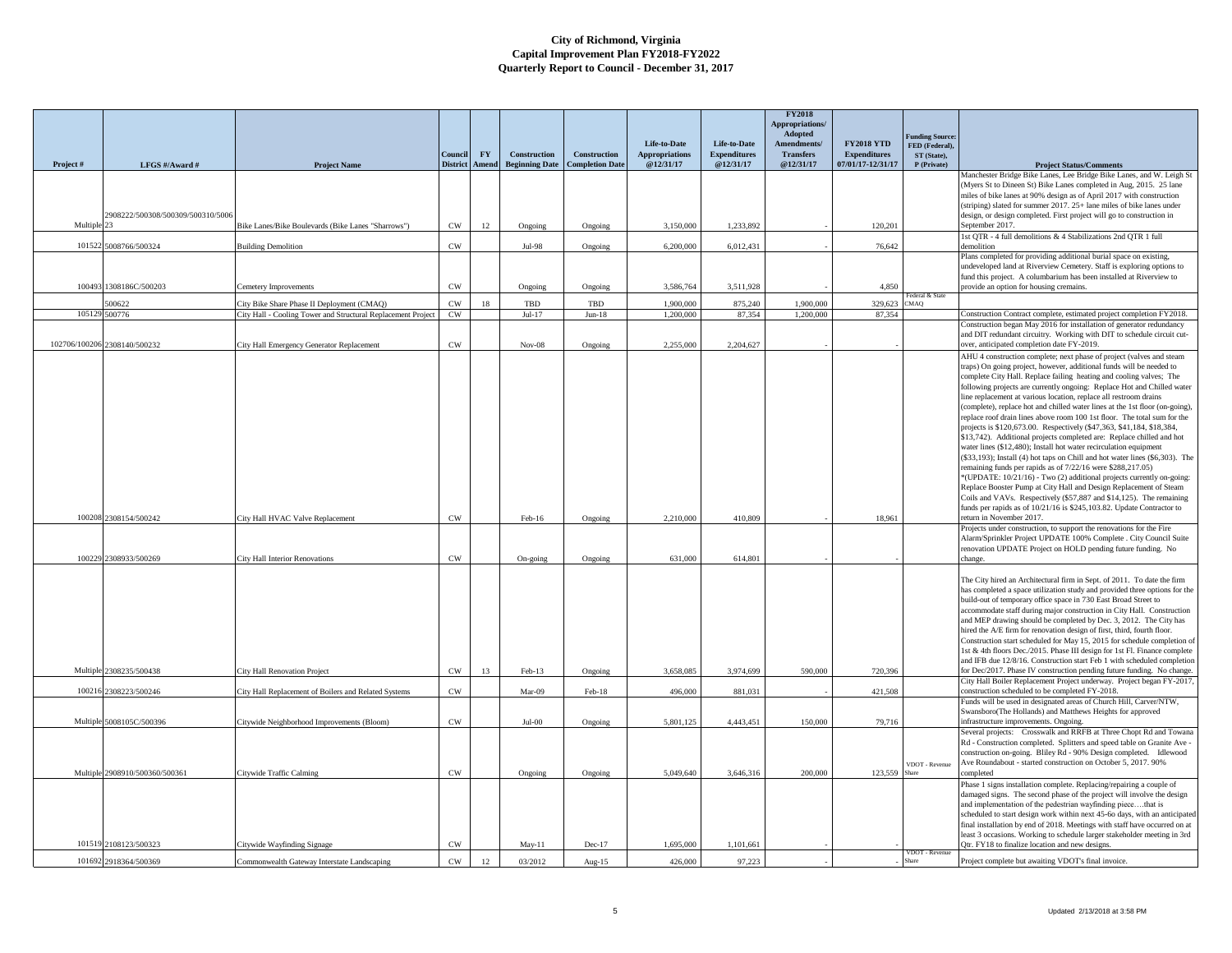|             |                                   |                                                                                                            |                            |                  |                       |                        |                                       |                                     | <b>FY2018</b><br><b>Appropriations/</b><br>Adopted |                                          | <b>Funding Source:</b>        |                                                                                                                                                        |
|-------------|-----------------------------------|------------------------------------------------------------------------------------------------------------|----------------------------|------------------|-----------------------|------------------------|---------------------------------------|-------------------------------------|----------------------------------------------------|------------------------------------------|-------------------------------|--------------------------------------------------------------------------------------------------------------------------------------------------------|
|             |                                   |                                                                                                            | Council                    | ${\bf F}{\bf Y}$ | Construction          | <b>Construction</b>    | Life-to-Date<br><b>Appropriations</b> | Life-to-Date<br><b>Expenditures</b> | Amendments/<br><b>Transfers</b>                    | <b>FY2018 YTD</b><br><b>Expenditures</b> | FED (Federal),<br>ST (State), |                                                                                                                                                        |
| Project#    | LFGS #/Award #                    | <b>Project Name</b>                                                                                        | <b>District</b>            | Amend            | <b>Beginning Date</b> | <b>Completion Date</b> | @12/31/17                             | @12/31/17                           | @12/31/17                                          | 07/01/17-12/31/17                        | P (Private)                   | <b>Project Status/Comments</b>                                                                                                                         |
|             |                                   |                                                                                                            |                            |                  |                       |                        |                                       |                                     |                                                    |                                          |                               | Manchester Bridge Bike Lanes, Lee Bridge Bike Lanes, and W. Leigh St<br>(Myers St to Dineen St) Bike Lanes completed in Aug, 2015. 25 lane             |
|             |                                   |                                                                                                            |                            |                  |                       |                        |                                       |                                     |                                                    |                                          |                               | miles of bike lanes at 90% design as of April 2017 with construction                                                                                   |
|             | 2908222/500308/500309/500310/5006 |                                                                                                            |                            |                  |                       |                        |                                       |                                     |                                                    |                                          |                               | (striping) slated for summer 2017. 25+ lane miles of bike lanes under<br>design, or design completed. First project will go to construction in         |
| Multiple 23 |                                   | Bike Lanes/Bike Boulevards (Bike Lanes "Sharrows")                                                         | $_{\rm CW}$                | 12               | Ongoing               | Ongoing                | 3,150,000                             | 1,233,892                           |                                                    | 120,201                                  |                               | September 2017.                                                                                                                                        |
|             | 101522 5008766/500324             | <b>Building Demolition</b>                                                                                 | $_{\mbox{\scriptsize CW}}$ |                  | Jul-98                | Ongoing                | 6,200,000                             | 6,012,431                           |                                                    | 76,642                                   |                               | 1st QTR - 4 full demolitions & 4 Stabilizations 2nd QTR 1 full<br>demolition                                                                           |
|             |                                   |                                                                                                            |                            |                  |                       |                        |                                       |                                     |                                                    |                                          |                               | Plans completed for providing additional burial space on existing,<br>undeveloped land at Riverview Cemetery. Staff is exploring options to            |
|             |                                   |                                                                                                            |                            |                  |                       |                        |                                       |                                     |                                                    |                                          |                               | fund this project. A columbarium has been installed at Riverview to                                                                                    |
|             | 100493 1308186C/500203            | Cemetery Improvements                                                                                      | $_{\rm CW}$                |                  | Ongoing               | Ongoing                | 3,586,764                             | 3,511,928                           |                                                    | 4.850                                    | ederal & State                | provide an option for housing cremains.                                                                                                                |
| 10512       | 00622<br>500776                   | City Bike Share Phase II Deployment (CMAO)<br>City Hall - Cooling Tower and Structural Replacement Project | CW<br>$\mathrm{CW}$        | 18               | TBD<br>$Jul-17$       | TBD<br>$Jun-18$        | 1,900,000<br>1,200,000                | 875.240<br>87,354                   | 1,900,000<br>1,200,000                             | 329,623<br>87,354                        | MAQ)                          | Construction Contract complete, estimated project completion FY2018.                                                                                   |
|             |                                   |                                                                                                            |                            |                  |                       |                        |                                       |                                     |                                                    |                                          |                               | Construction began May 2016 for installation of generator redundancy                                                                                   |
|             | 102706/100206 2308140/500232      | City Hall Emergency Generator Replacement                                                                  | CW                         |                  | $Nov-08$              | Ongoing                | 2.255,000                             | 2.204.627                           |                                                    |                                          |                               | and DIT redundant circuitry. Working with DIT to schedule circuit cut-<br>over, anticipated completion date FY-2019.                                   |
|             |                                   |                                                                                                            |                            |                  |                       |                        |                                       |                                     |                                                    |                                          |                               | AHU 4 construction complete; next phase of project (valves and steam                                                                                   |
|             |                                   |                                                                                                            |                            |                  |                       |                        |                                       |                                     |                                                    |                                          |                               | traps) On going project, however, additional funds will be needed to<br>complete City Hall. Replace failing heating and cooling valves; The            |
|             |                                   |                                                                                                            |                            |                  |                       |                        |                                       |                                     |                                                    |                                          |                               | following projects are currently ongoing: Replace Hot and Chilled water                                                                                |
|             |                                   |                                                                                                            |                            |                  |                       |                        |                                       |                                     |                                                    |                                          |                               | line replacement at various location, replace all restroom drains<br>(complete), replace hot and chilled water lines at the 1st floor (on-going).      |
|             |                                   |                                                                                                            |                            |                  |                       |                        |                                       |                                     |                                                    |                                          |                               | replace roof drain lines above room 100 1st floor. The total sum for the                                                                               |
|             |                                   |                                                                                                            |                            |                  |                       |                        |                                       |                                     |                                                    |                                          |                               | projects is \$120,673.00. Respectively (\$47,363, \$41,184, \$18,384,<br>\$13,742). Additional projects completed are: Replace chilled and hot         |
|             |                                   |                                                                                                            |                            |                  |                       |                        |                                       |                                     |                                                    |                                          |                               | water lines (\$12,480); Install hot water recirculation equipment                                                                                      |
|             |                                   |                                                                                                            |                            |                  |                       |                        |                                       |                                     |                                                    |                                          |                               | (\$33,193); Install (4) hot taps on Chill and hot water lines (\$6,303). The<br>remaining funds per rapids as of 7/22/16 were \$288,217.05)            |
|             |                                   |                                                                                                            |                            |                  |                       |                        |                                       |                                     |                                                    |                                          |                               | *(UPDATE: 10/21/16) - Two (2) additional projects currently on-going:                                                                                  |
|             |                                   |                                                                                                            |                            |                  |                       |                        |                                       |                                     |                                                    |                                          |                               | Replace Booster Pump at City Hall and Design Replacement of Steam<br>Coils and VAVs. Respectively (\$57,887 and \$14,125). The remaining               |
|             |                                   |                                                                                                            |                            |                  |                       |                        |                                       |                                     |                                                    |                                          |                               | funds per rapids as of 10/21/16 is \$245,103.82. Update Contractor to                                                                                  |
|             | 100208 2308154/500242             | City Hall HVAC Valve Replacement                                                                           | CW                         |                  | Feb-16                | Ongoing                | 2,210,000                             | 410,809                             |                                                    | 18,961                                   |                               | return in November 2017.<br>Projects under construction, to support the renovations for the Fire                                                       |
|             |                                   |                                                                                                            |                            |                  |                       |                        |                                       |                                     |                                                    |                                          |                               | Alarm/Sprinkler Project UPDATE 100% Complete . City Council Suite                                                                                      |
|             | 100229 2308933/500269             | <b>City Hall Interior Renovations</b>                                                                      | CW                         |                  | On-going              | Ongoing                | 631,000                               | 614,801                             |                                                    |                                          |                               | renovation UPDATE Project on HOLD pending future funding. No<br>change                                                                                 |
|             |                                   |                                                                                                            |                            |                  |                       |                        |                                       |                                     |                                                    |                                          |                               |                                                                                                                                                        |
|             |                                   |                                                                                                            |                            |                  |                       |                        |                                       |                                     |                                                    |                                          |                               | The City hired an Architectural firm in Sept. of 2011. To date the firm<br>has completed a space utilization study and provided three options for the  |
|             |                                   |                                                                                                            |                            |                  |                       |                        |                                       |                                     |                                                    |                                          |                               | build-out of temporary office space in 730 East Broad Street to                                                                                        |
|             |                                   |                                                                                                            |                            |                  |                       |                        |                                       |                                     |                                                    |                                          |                               | accommodate staff during major construction in City Hall. Construction<br>and MEP drawing should be completed by Dec. 3, 2012. The City has            |
|             |                                   |                                                                                                            |                            |                  |                       |                        |                                       |                                     |                                                    |                                          |                               | hired the A/E firm for renovation design of first, third, fourth floor.                                                                                |
|             |                                   |                                                                                                            |                            |                  |                       |                        |                                       |                                     |                                                    |                                          |                               | Construction start scheduled for May 15, 2015 for schedule completion of<br>1st & 4th floors Dec./2015. Phase III design for 1st Fl. Finance complete  |
|             | Multiple 2308235/500438           | City Hall Renovation Project                                                                               | $\mathrm{CW}$              | 13               | Feb-13                | Ongoing                | 3,658,085                             | 3,974,699                           | 590,000                                            | 720,396                                  |                               | and IFB due 12/8/16. Construction start Feb 1 with scheduled completion<br>for Dec/2017. Phase IV construction pending future funding. No change.      |
|             |                                   |                                                                                                            |                            |                  |                       |                        |                                       |                                     |                                                    |                                          |                               | City Hall Boiler Replacement Project underway. Project began FY-2017,                                                                                  |
| 10021       | 2308223/500246                    | City Hall Replacement of Boilers and Related Systems                                                       | CW                         |                  | Mar-09                | Feb-18                 | 496,000                               | 881,031                             |                                                    | 421,508                                  |                               | construction scheduled to be completed FY-2018<br>Funds will be used in designated areas of Church Hill, Carver/NTW,                                   |
|             |                                   |                                                                                                            |                            |                  |                       |                        |                                       |                                     |                                                    |                                          |                               | Swansboro(The Hollands) and Matthews Heights for approved                                                                                              |
|             | Multiple 5008105C/500396          | Citywide Neighborhood Improvements (Bloom)                                                                 | CW                         |                  | $Jul-00$              | Ongoing                | 5.801.125                             | 4,443,451                           | 150,000                                            | 79.716                                   |                               | infrastructure improvements. Ongoing.<br>Several projects: Crosswalk and RRFB at Three Chopt Rd and Towana                                             |
|             |                                   |                                                                                                            |                            |                  |                       |                        |                                       |                                     |                                                    |                                          |                               | Rd - Construction completed. Splitters and speed table on Granite Ave -                                                                                |
|             |                                   |                                                                                                            |                            |                  |                       |                        |                                       |                                     |                                                    |                                          |                               | construction on-going. Bliley Rd - 90% Design completed. Idlewood<br>Ave Roundabout - started construction on October 5, 2017. 90%                     |
|             | Multiple 2908910/500360/500361    | Citywide Traffic Calmins                                                                                   | CW                         |                  | Ongoing               | Ongoing                | 5,049,640                             | 3.646.316                           | 200,000                                            | 123,559                                  | VDOT - Revenue<br>hare        | completed                                                                                                                                              |
|             |                                   |                                                                                                            |                            |                  |                       |                        |                                       |                                     |                                                    |                                          |                               | Phase 1 signs installation complete. Replacing/repairing a couple of                                                                                   |
|             |                                   |                                                                                                            |                            |                  |                       |                        |                                       |                                     |                                                    |                                          |                               | damaged signs. The second phase of the project will involve the design<br>and implementation of the pedestrian wayfinding piecethat is                 |
|             |                                   |                                                                                                            |                            |                  |                       |                        |                                       |                                     |                                                    |                                          |                               | scheduled to start design work within next 45-60 days, with an anticipated                                                                             |
|             |                                   |                                                                                                            |                            |                  |                       |                        |                                       |                                     |                                                    |                                          |                               | final installation by end of 2018. Meetings with staff have occurred on at<br>least 3 occasions. Working to schedule larger stakeholder meeting in 3rd |
|             | 101519 2108123/500323             | Citywide Wayfinding Signage                                                                                | $_{\mbox{\scriptsize CW}}$ |                  | May-11                | Dec-17                 | 1,695,000                             | 1,101,661                           |                                                    |                                          | /DOT - Revenu                 | Qtr. FY18 to finalize location and new designs.                                                                                                        |
|             | 101692 2918364/500369             | Commonwealth Gateway Interstate Landscaping                                                                | CW                         | 12               | 03/2012               | Aug- $15$              | 426,000                               | 97.223                              |                                                    |                                          | hare                          | Project complete but awaiting VDOT's final invoice.                                                                                                    |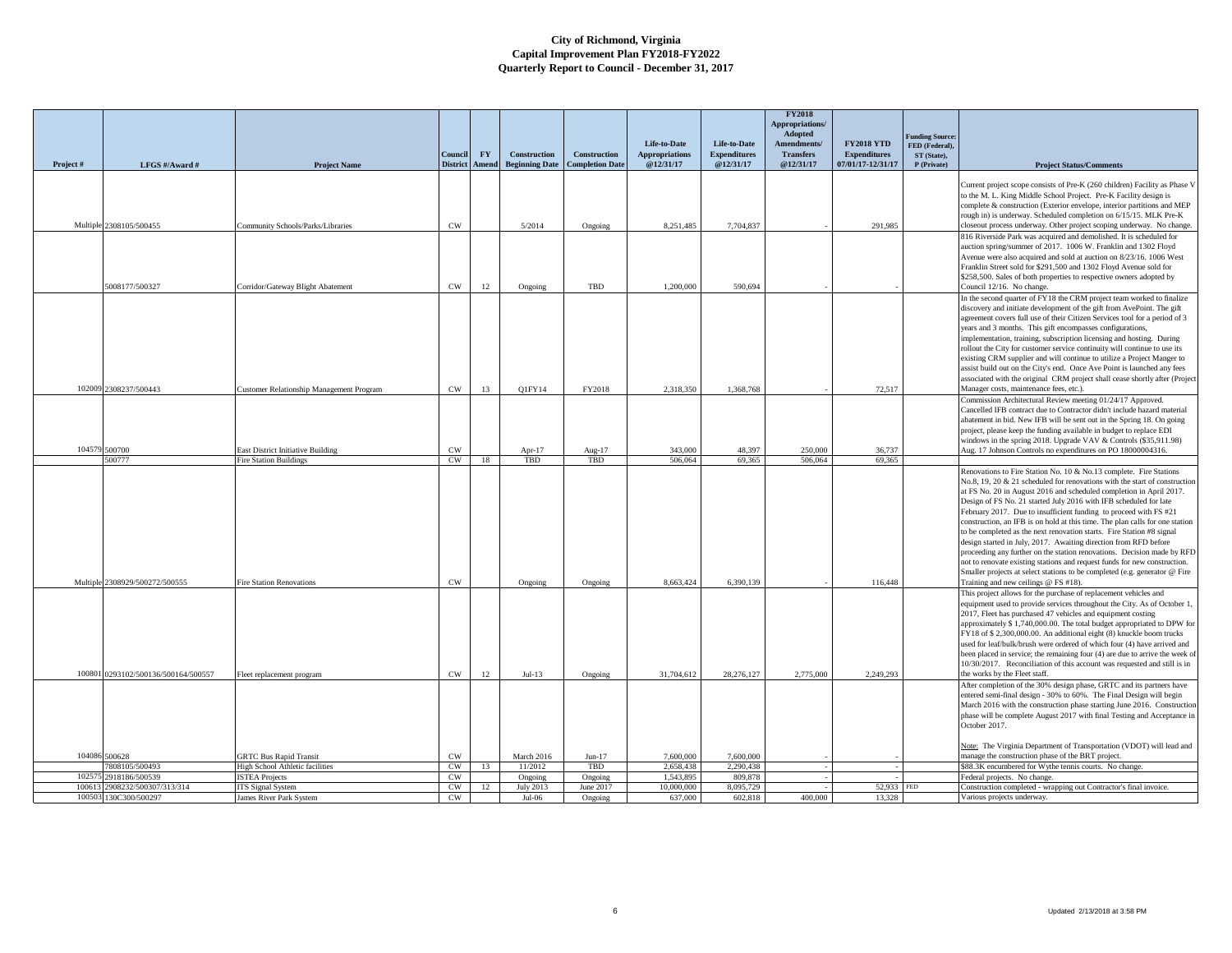|                  |                                          |                                                     |                                  |           |                                              |                                               |                                    |                                  | <b>FY2018</b><br><b>Appropriations</b><br>Adopted |                                          |                                  |                                                                                                                                                       |
|------------------|------------------------------------------|-----------------------------------------------------|----------------------------------|-----------|----------------------------------------------|-----------------------------------------------|------------------------------------|----------------------------------|---------------------------------------------------|------------------------------------------|----------------------------------|-------------------------------------------------------------------------------------------------------------------------------------------------------|
|                  |                                          |                                                     |                                  |           |                                              |                                               | Life-to-Date                       | Life-to-Date                     | Amendments/                                       | <b>FY2018 YTD</b>                        | unding Source:<br>FED (Federal), |                                                                                                                                                       |
| Project#         |                                          |                                                     | Council<br><b>District</b> Amend | <b>FY</b> | <b>Construction</b><br><b>Beginning Date</b> | <b>Construction</b><br><b>Completion Date</b> | <b>Appropriations</b><br>@12/31/17 | <b>Expenditures</b><br>@12/31/17 | <b>Transfers</b><br>@12/31/17                     | <b>Expenditures</b><br>07/01/17-12/31/17 | ST (State),<br>P (Private)       |                                                                                                                                                       |
|                  | LFGS #/Award #                           | <b>Project Name</b>                                 |                                  |           |                                              |                                               |                                    |                                  |                                                   |                                          |                                  | <b>Project Status/Comments</b>                                                                                                                        |
|                  |                                          |                                                     |                                  |           |                                              |                                               |                                    |                                  |                                                   |                                          |                                  | Current project scope consists of Pre-K (260 children) Facility as Phase V                                                                            |
|                  |                                          |                                                     |                                  |           |                                              |                                               |                                    |                                  |                                                   |                                          |                                  | to the M. L. King Middle School Project. Pre-K Facility design is                                                                                     |
|                  |                                          |                                                     |                                  |           |                                              |                                               |                                    |                                  |                                                   |                                          |                                  | complete & construction (Exterior envelope, interior partitions and MEP<br>rough in) is underway. Scheduled completion on 6/15/15. MLK Pre-K          |
|                  | Multiple 2308105/500455                  | Community Schools/Parks/Libraries                   | <b>CW</b>                        |           | 5/2014                                       | Ongoing                                       | 8,251,485                          | 7,704,837                        |                                                   | 291,985                                  |                                  | closeout process underway. Other project scoping underway. No change.                                                                                 |
|                  |                                          |                                                     |                                  |           |                                              |                                               |                                    |                                  |                                                   |                                          |                                  | 816 Riverside Park was acquired and demolished. It is scheduled for                                                                                   |
|                  |                                          |                                                     |                                  |           |                                              |                                               |                                    |                                  |                                                   |                                          |                                  | auction spring/summer of 2017. 1006 W. Franklin and 1302 Floyd<br>Avenue were also acquired and sold at auction on 8/23/16. 1006 West                 |
|                  |                                          |                                                     |                                  |           |                                              |                                               |                                    |                                  |                                                   |                                          |                                  | Franklin Street sold for \$291,500 and 1302 Floyd Avenue sold for                                                                                     |
|                  |                                          |                                                     |                                  |           |                                              |                                               |                                    |                                  |                                                   |                                          |                                  | \$258,500. Sales of both properties to respective owners adopted by                                                                                   |
|                  | 5008177/500327                           | Corridor/Gateway Blight Abatement                   | CW                               | 12        | Ongoing                                      | TBD                                           | 1,200,000                          | 590.694                          |                                                   |                                          |                                  | Council 12/16. No change.                                                                                                                             |
|                  |                                          |                                                     |                                  |           |                                              |                                               |                                    |                                  |                                                   |                                          |                                  | In the second quarter of FY18 the CRM project team worked to finalize<br>discovery and initiate development of the gift from AvePoint. The gift       |
|                  |                                          |                                                     |                                  |           |                                              |                                               |                                    |                                  |                                                   |                                          |                                  | agreement covers full use of their Citizen Services tool for a period of 3                                                                            |
|                  |                                          |                                                     |                                  |           |                                              |                                               |                                    |                                  |                                                   |                                          |                                  | years and 3 months. This gift encompasses configurations,                                                                                             |
|                  |                                          |                                                     |                                  |           |                                              |                                               |                                    |                                  |                                                   |                                          |                                  | implementation, training, subscription licensing and hosting. During                                                                                  |
|                  |                                          |                                                     |                                  |           |                                              |                                               |                                    |                                  |                                                   |                                          |                                  | rollout the City for customer service continuity will continue to use its                                                                             |
|                  |                                          |                                                     |                                  |           |                                              |                                               |                                    |                                  |                                                   |                                          |                                  | existing CRM supplier and will continue to utilize a Project Manger to<br>assist build out on the City's end. Once Ave Point is launched any fees     |
|                  |                                          |                                                     |                                  |           |                                              |                                               |                                    |                                  |                                                   |                                          |                                  | associated with the original CRM project shall cease shortly after (Project                                                                           |
|                  | 102009 2308237/500443                    | Customer Relationship Management Program            | CW                               | 13        | O1FY14                                       | FY2018                                        | 2.318.350                          | 1.368.768                        |                                                   | 72.517                                   |                                  | Manager costs, maintenance fees, etc.).                                                                                                               |
|                  |                                          |                                                     |                                  |           |                                              |                                               |                                    |                                  |                                                   |                                          |                                  | Commission Architectural Review meeting 01/24/17 Approved.                                                                                            |
|                  |                                          |                                                     |                                  |           |                                              |                                               |                                    |                                  |                                                   |                                          |                                  | Cancelled IFB contract due to Contractor didn't include hazard material                                                                               |
|                  |                                          |                                                     |                                  |           |                                              |                                               |                                    |                                  |                                                   |                                          |                                  | abatement in bid. New IFB will be sent out in the Spring 18. On going<br>project, please keep the funding available in budget to replace EDI          |
|                  |                                          |                                                     |                                  |           |                                              |                                               |                                    |                                  |                                                   |                                          |                                  | windows in the spring 2018. Upgrade VAV & Controls (\$35,911.98)                                                                                      |
|                  | 104579 500700                            | East District Initiative Building                   | <b>CW</b>                        |           | Apr-17                                       | Aug-17                                        | 343,000                            | 48.397                           | 250,000                                           | 36,737                                   |                                  | Aug. 17 Johnson Controls no expenditures on PO 18000004316.                                                                                           |
|                  | 500777                                   | <b>Fire Station Buildings</b>                       | CW                               | 18        | TBD                                          | TBD                                           | 506,064                            | 69.365                           | 506,064                                           | 69.365                                   |                                  |                                                                                                                                                       |
|                  |                                          |                                                     |                                  |           |                                              |                                               |                                    |                                  |                                                   |                                          |                                  | Renovations to Fire Station No. 10 & No.13 complete. Fire Stations<br>No.8, 19, 20 & 21 scheduled for renovations with the start of construction      |
|                  |                                          |                                                     |                                  |           |                                              |                                               |                                    |                                  |                                                   |                                          |                                  | at FS No. 20 in August 2016 and scheduled completion in April 2017.                                                                                   |
|                  |                                          |                                                     |                                  |           |                                              |                                               |                                    |                                  |                                                   |                                          |                                  | Design of FS No. 21 started July 2016 with IFB scheduled for late                                                                                     |
|                  |                                          |                                                     |                                  |           |                                              |                                               |                                    |                                  |                                                   |                                          |                                  | February 2017. Due to insufficient funding to proceed with FS #21                                                                                     |
|                  |                                          |                                                     |                                  |           |                                              |                                               |                                    |                                  |                                                   |                                          |                                  | construction, an IFB is on hold at this time. The plan calls for one station<br>to be completed as the next renovation starts. Fire Station #8 signal |
|                  |                                          |                                                     |                                  |           |                                              |                                               |                                    |                                  |                                                   |                                          |                                  | design started in July, 2017. Awaiting direction from RFD before                                                                                      |
|                  |                                          |                                                     |                                  |           |                                              |                                               |                                    |                                  |                                                   |                                          |                                  | proceeding any further on the station renovations. Decision made by RFD                                                                               |
|                  |                                          |                                                     |                                  |           |                                              |                                               |                                    |                                  |                                                   |                                          |                                  | not to renovate existing stations and request funds for new construction.                                                                             |
|                  | Multiple 2308929/500272/500555           | Fire Station Renovations                            | $_{\rm CW}$                      |           | Ongoing                                      | Ongoing                                       | 8.663.424                          | 6,390,139                        |                                                   | 116,448                                  |                                  | Smaller projects at select stations to be completed (e.g. generator @ Fire<br>Training and new ceilings @ FS #18).                                    |
|                  |                                          |                                                     |                                  |           |                                              |                                               |                                    |                                  |                                                   |                                          |                                  | This project allows for the purchase of replacement vehicles and                                                                                      |
|                  |                                          |                                                     |                                  |           |                                              |                                               |                                    |                                  |                                                   |                                          |                                  | equipment used to provide services throughout the City. As of October 1,                                                                              |
|                  |                                          |                                                     |                                  |           |                                              |                                               |                                    |                                  |                                                   |                                          |                                  | 2017, Fleet has purchased 47 vehicles and equipment costing                                                                                           |
|                  |                                          |                                                     |                                  |           |                                              |                                               |                                    |                                  |                                                   |                                          |                                  | approximately \$ 1,740,000.00. The total budget appropriated to DPW for<br>FY18 of \$2,300,000.00. An additional eight (8) knuckle boom trucks        |
|                  |                                          |                                                     |                                  |           |                                              |                                               |                                    |                                  |                                                   |                                          |                                  | used for leaf/bulk/brush were ordered of which four (4) have arrived and                                                                              |
|                  |                                          |                                                     |                                  |           |                                              |                                               |                                    |                                  |                                                   |                                          |                                  | been placed in service; the remaining four (4) are due to arrive the week of                                                                          |
|                  |                                          |                                                     |                                  |           |                                              |                                               |                                    |                                  |                                                   |                                          |                                  | 10/30/2017. Reconciliation of this account was requested and still is in                                                                              |
|                  | 100801 0293102/500136/500164/500557      | Fleet replacement program                           | CW                               | 12        | $Jul-13$                                     | Ongoing                                       | 31,704,612                         | 28.276.127                       | 2,775,000                                         | 2,249,293                                |                                  | the works by the Fleet staff.                                                                                                                         |
|                  |                                          |                                                     |                                  |           |                                              |                                               |                                    |                                  |                                                   |                                          |                                  | After completion of the 30% design phase, GRTC and its partners have<br>entered semi-final design - 30% to 60%. The Final Design will begin           |
|                  |                                          |                                                     |                                  |           |                                              |                                               |                                    |                                  |                                                   |                                          |                                  | March 2016 with the construction phase starting June 2016. Construction                                                                               |
|                  |                                          |                                                     |                                  |           |                                              |                                               |                                    |                                  |                                                   |                                          |                                  | phase will be complete August 2017 with final Testing and Acceptance in                                                                               |
|                  |                                          |                                                     |                                  |           |                                              |                                               |                                    |                                  |                                                   |                                          |                                  | October 2017.                                                                                                                                         |
|                  |                                          |                                                     |                                  |           |                                              |                                               |                                    |                                  |                                                   |                                          |                                  | Note: The Virginia Department of Transportation (VDOT) will lead and                                                                                  |
|                  | 104086 500628                            | <b>GRTC Bus Rapid Transit</b>                       | CW                               |           | March 2016                                   | $Jun-17$                                      | 7,600,000                          | 7,600,000                        |                                                   |                                          |                                  | manage the construction phase of the BRT project.                                                                                                     |
|                  | 808105/500493                            | High School Athletic facilities                     | CW                               | 13        | 11/2012                                      | TBD                                           | 2.658.438                          | 2.290.438                        |                                                   |                                          |                                  | \$88.3K encumbered for Wythe tennis courts. No change.                                                                                                |
| 1025             | 2918186/500539                           | <b>ISTEA Projects</b>                               | <b>CW</b>                        |           | Ongoing                                      | Ongoing                                       | 1.543.895                          | 809,878                          |                                                   |                                          |                                  | Federal projects. No change.                                                                                                                          |
| 100613<br>100503 | 2908232/500307/313/314<br>130C300/500297 | <b>ITS</b> Signal System<br>James River Park System | CW<br>CW                         | 12        | July 2013<br>Jul-06                          | June 2017<br>Ongoing                          | 10,000,000<br>637,000              | 8,095,729<br>602,818             | 400,000                                           | 52,933<br>13,328                         | <b>FED</b>                       | Construction completed - wrapping out Contractor's final invoice.<br>Various projects underway.                                                       |
|                  |                                          |                                                     |                                  |           |                                              |                                               |                                    |                                  |                                                   |                                          |                                  |                                                                                                                                                       |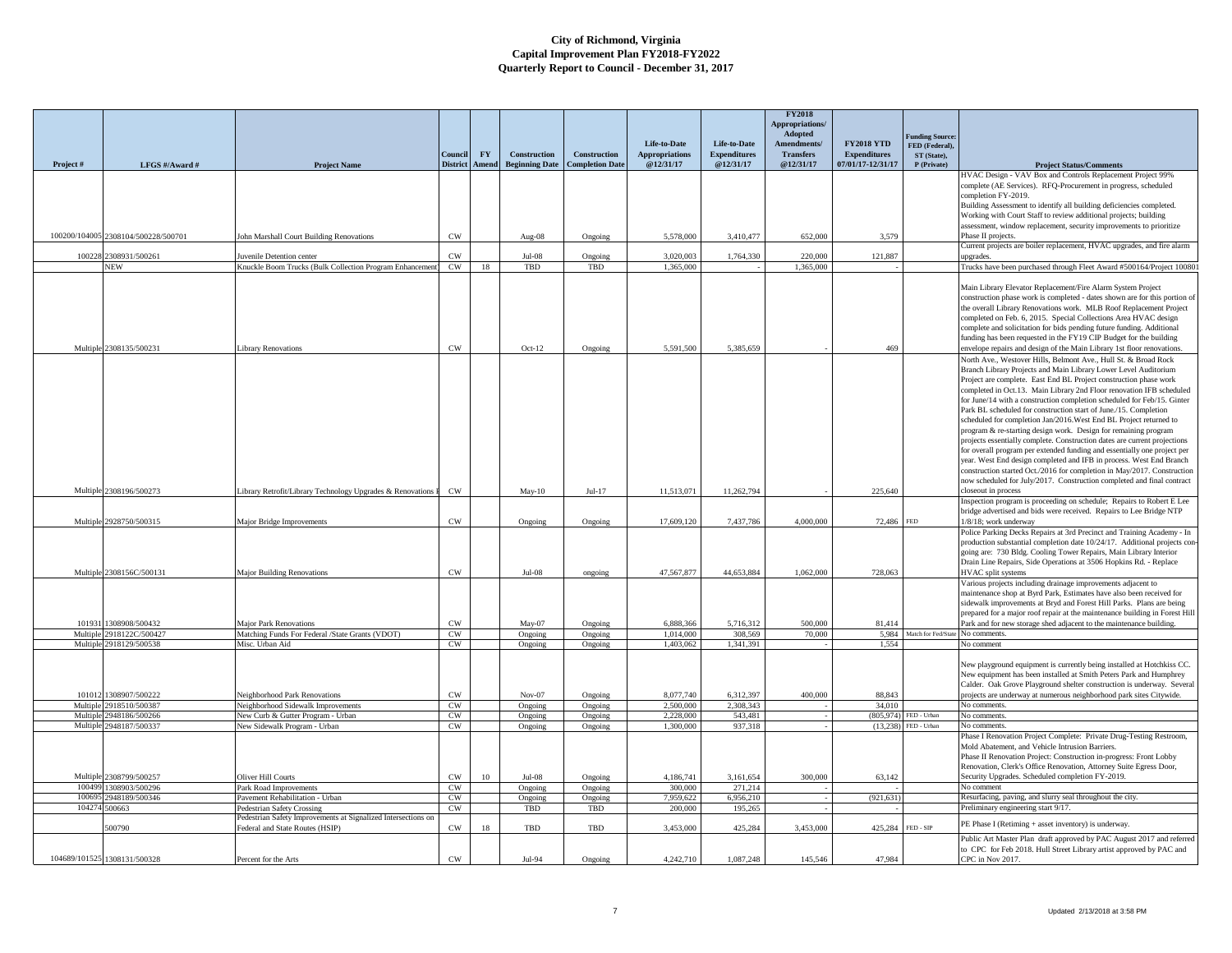|                      |                                     |                                                                                             |                     |           |                                    |                        |                                       |                                     | <b>FY2018</b><br>Appropriations/<br>Adopted |                                          |                                                         |                                                                                                                                                                                                                                                                                                                                                                                                                                                                                                                                                                                                                                                                                                                                                                                                                                                                                                                                                              |
|----------------------|-------------------------------------|---------------------------------------------------------------------------------------------|---------------------|-----------|------------------------------------|------------------------|---------------------------------------|-------------------------------------|---------------------------------------------|------------------------------------------|---------------------------------------------------------|--------------------------------------------------------------------------------------------------------------------------------------------------------------------------------------------------------------------------------------------------------------------------------------------------------------------------------------------------------------------------------------------------------------------------------------------------------------------------------------------------------------------------------------------------------------------------------------------------------------------------------------------------------------------------------------------------------------------------------------------------------------------------------------------------------------------------------------------------------------------------------------------------------------------------------------------------------------|
|                      |                                     |                                                                                             | Council             | <b>FY</b> | Construction                       | Construction           | Life-to-Date<br><b>Appropriations</b> | Life-to-Date<br><b>Expenditures</b> | Amendments/<br><b>Transfers</b>             | <b>FY2018 YTD</b><br><b>Expenditures</b> | <b>Funding Source:</b><br>FED (Federal),<br>ST (State). |                                                                                                                                                                                                                                                                                                                                                                                                                                                                                                                                                                                                                                                                                                                                                                                                                                                                                                                                                              |
| Project#             | LFGS #/Award #                      | <b>Project Name</b>                                                                         | <b>District</b>     | Amend     | <b>Beginning Date</b>              | <b>Completion Date</b> | @12/31/17                             | @12/31/17                           | @12/31/17                                   | 07/01/17-12/31/17                        | P (Private)                                             | <b>Project Status/Comments</b>                                                                                                                                                                                                                                                                                                                                                                                                                                                                                                                                                                                                                                                                                                                                                                                                                                                                                                                               |
|                      |                                     |                                                                                             |                     |           |                                    |                        |                                       |                                     |                                             |                                          |                                                         | HVAC Design - VAV Box and Controls Replacement Project 99%<br>complete (AE Services). RFQ-Procurement in progress, scheduled                                                                                                                                                                                                                                                                                                                                                                                                                                                                                                                                                                                                                                                                                                                                                                                                                                 |
|                      |                                     |                                                                                             |                     |           |                                    |                        |                                       |                                     |                                             |                                          |                                                         | completion FY-2019.<br>Building Assessment to identify all building deficiencies completed.                                                                                                                                                                                                                                                                                                                                                                                                                                                                                                                                                                                                                                                                                                                                                                                                                                                                  |
|                      |                                     |                                                                                             |                     |           |                                    |                        |                                       |                                     |                                             |                                          |                                                         | Working with Court Staff to review additional projects; building                                                                                                                                                                                                                                                                                                                                                                                                                                                                                                                                                                                                                                                                                                                                                                                                                                                                                             |
|                      | 100200/104005 2308104/500228/500701 | John Marshall Court Building Renovations                                                    | $_{\rm CW}$         |           | Aug-08                             | Ongoing                | 5,578,000                             | 3,410,477                           | 652,000                                     | 3,579                                    |                                                         | assessment, window replacement, security improvements to prioritize<br>Phase II projects.                                                                                                                                                                                                                                                                                                                                                                                                                                                                                                                                                                                                                                                                                                                                                                                                                                                                    |
| 100228               | 2308931/500261                      | Juvenile Detention center                                                                   | CW                  |           | $Jul-08$                           | Ongoing                | 3,020,003                             | 1,764,330                           | 220,000                                     | 121,887                                  |                                                         | Current projects are boiler replacement, HVAC upgrades, and fire alarm<br>apgrades.                                                                                                                                                                                                                                                                                                                                                                                                                                                                                                                                                                                                                                                                                                                                                                                                                                                                          |
|                      | NEW                                 | Knuckle Boom Trucks (Bulk Collection Program Enhancement                                    | CW                  | 18        | TBD                                | TBD                    | 1,365,000                             |                                     | 1,365,000                                   |                                          |                                                         | Trucks have been purchased through Fleet Award #500164/Project 10080                                                                                                                                                                                                                                                                                                                                                                                                                                                                                                                                                                                                                                                                                                                                                                                                                                                                                         |
|                      |                                     |                                                                                             |                     |           |                                    |                        |                                       |                                     |                                             |                                          |                                                         | Main Library Elevator Replacement/Fire Alarm System Project<br>construction phase work is completed - dates shown are for this portion of<br>the overall Library Renovations work. MLB Roof Replacement Project<br>completed on Feb. 6, 2015. Special Collections Area HVAC design<br>complete and solicitation for bids pending future funding. Additional<br>funding has been requested in the FY19 CIP Budget for the building                                                                                                                                                                                                                                                                                                                                                                                                                                                                                                                            |
|                      | Multiple 2308135/500231             | <b>Library Renovations</b>                                                                  | $\mathrm{CW}$       |           | $Oct-12$                           | Ongoing                | 5.591.500                             | 5.385.659                           |                                             | 469                                      |                                                         | envelope repairs and design of the Main Library 1st floor renovations.                                                                                                                                                                                                                                                                                                                                                                                                                                                                                                                                                                                                                                                                                                                                                                                                                                                                                       |
|                      |                                     |                                                                                             |                     |           |                                    |                        |                                       |                                     |                                             |                                          |                                                         | North Ave., Westover Hills, Belmont Ave., Hull St. & Broad Rock<br>Branch Library Projects and Main Library Lower Level Auditorium<br>Project are complete. East End BL Project construction phase work<br>completed in Oct.13. Main Library 2nd Floor renovation IFB scheduled<br>for June/14 with a construction completion scheduled for Feb/15. Ginter<br>Park BL scheduled for construction start of June./15. Completion<br>scheduled for completion Jan/2016. West End BL Project returned to<br>program & re-starting design work. Design for remaining program<br>projects essentially complete. Construction dates are current projections<br>for overall program per extended funding and essentially one project per<br>year. West End design completed and IFB in process. West End Branch<br>construction started Oct./2016 for completion in May/2017. Construction<br>now scheduled for July/2017. Construction completed and final contract |
|                      | Multiple 2308196/500273             | Library Retrofit/Library Technology Upgrades & Renovations                                  | $\mathrm{CW}$       |           | $May-10$                           | $Jul-17$               | 11,513,071                            | 11,262,794                          |                                             | 225,640                                  |                                                         | closeout in process                                                                                                                                                                                                                                                                                                                                                                                                                                                                                                                                                                                                                                                                                                                                                                                                                                                                                                                                          |
| Multiple             | 2928750/500315                      | Major Bridge Improvements                                                                   | $\mathrm{CW}$       |           | Ongoing                            | Ongoing                | 17,609,120                            | 7,437,786                           | 4,000,000                                   | 72,486                                   | <b>FED</b>                                              | Inspection program is proceeding on schedule; Repairs to Robert E Lee<br>bridge advertised and bids were received. Repairs to Lee Bridge NTP<br>1/8/18; work underway                                                                                                                                                                                                                                                                                                                                                                                                                                                                                                                                                                                                                                                                                                                                                                                        |
|                      |                                     |                                                                                             |                     |           |                                    |                        |                                       |                                     |                                             |                                          |                                                         | Police Parking Decks Repairs at 3rd Precinct and Training Academy - In<br>production substantial completion date 10/24/17. Additional projects con<br>going are: 730 Bldg. Cooling Tower Repairs, Main Library Interior<br>Drain Line Repairs, Side Operations at 3506 Hopkins Rd. - Replace                                                                                                                                                                                                                                                                                                                                                                                                                                                                                                                                                                                                                                                                 |
| Multiple             | 2308156C/500131                     | <b>Major Building Renovations</b>                                                           | CW                  |           | $Jul-08$                           | ongoing                | 47,567,877                            | 44,653,884                          | 1,062,000                                   | 728,063                                  |                                                         | HVAC split systems                                                                                                                                                                                                                                                                                                                                                                                                                                                                                                                                                                                                                                                                                                                                                                                                                                                                                                                                           |
| 101931               | 308908/500432                       | <b>Major Park Renovations</b>                                                               | CW                  |           | May-07                             | Ongoing                | 6,888,366                             | 5.716.312                           | 500,000                                     | 81.414                                   |                                                         | Various projects including drainage improvements adjacent to<br>maintenance shop at Byrd Park, Estimates have also been received for<br>sidewalk improvements at Bryd and Forest Hill Parks. Plans are being<br>prepared for a major roof repair at the maintenance building in Forest Hill<br>Park and for new storage shed adjacent to the maintenance building                                                                                                                                                                                                                                                                                                                                                                                                                                                                                                                                                                                            |
| Multiple<br>Multiple | 2918122C/500427<br>2918129/500538   | Matching Funds For Federal /State Grants (VDOT)<br>Misc. Urban Aid                          | $\mathrm{CW}$<br>CW |           | Ongoing<br>Ongoing                 | Ongoing<br>Ongoing     | 1,014,000<br>1.403.062                | 308,569<br>1,341,391                | 70,000                                      | 5,984<br>1,554                           | Match for Fed/State                                     | No comments.<br>No comment                                                                                                                                                                                                                                                                                                                                                                                                                                                                                                                                                                                                                                                                                                                                                                                                                                                                                                                                   |
| 101012               | 308907/500222                       |                                                                                             | CW                  |           |                                    |                        | 8,077,740                             | 6,312,397                           | 400,000                                     | 88,843                                   |                                                         | New playground equipment is currently being installed at Hotchkiss CC.<br>New equipment has been installed at Smith Peters Park and Humphrey<br>Calder. Oak Grove Playground shelter construction is underway. Several<br>projects are underway at numerous neighborhood park sites Citywide.                                                                                                                                                                                                                                                                                                                                                                                                                                                                                                                                                                                                                                                                |
| Multiple             | 2918510/500387                      | Neighborhood Park Renovations<br>Neighborhood Sidewalk Improvements                         | CW                  |           | $Nov-07$<br>Ongoing                | Ongoing<br>Ongoing     | 2,500,000                             | 2,308,343                           |                                             | 34,010                                   |                                                         | No comments.                                                                                                                                                                                                                                                                                                                                                                                                                                                                                                                                                                                                                                                                                                                                                                                                                                                                                                                                                 |
| Multiple             | 2948186/500266                      | New Curb & Gutter Program - Urban                                                           | CW                  |           | Ongoing                            | Ongoing                | 2.228.000                             | 543,481                             |                                             |                                          | (805.974) FED - Urban                                   | No comments.                                                                                                                                                                                                                                                                                                                                                                                                                                                                                                                                                                                                                                                                                                                                                                                                                                                                                                                                                 |
| Multiple             | 2948187/500337                      | New Sidewalk Program - Urban                                                                | $\mathrm{CW}$       |           | Ongoing                            | Ongoing                | 1,300,000                             | 937,318                             |                                             |                                          | $(13,238)$ FED - Urban                                  | No comments.                                                                                                                                                                                                                                                                                                                                                                                                                                                                                                                                                                                                                                                                                                                                                                                                                                                                                                                                                 |
| Multiple<br>100499   | 2308799/500257<br>308903/500296     | Oliver Hill Courts<br>Park Road Improvements                                                | CW<br>CW            | 10        | $_{\rm{Jul}\text{-}08}$<br>Ongoing | Ongoing<br>Ongoing     | 4.186.741<br>300,000                  | 3,161,654<br>271,214                | 300,000                                     | 63,142                                   |                                                         | Phase I Renovation Project Complete: Private Drug-Testing Restroom,<br>Mold Abatement, and Vehicle Intrusion Barriers.<br>Phase II Renovation Project: Construction in-progress: Front Lobby<br>Renovation, Clerk's Office Renovation, Attorney Suite Egress Door,<br>Security Upgrades. Scheduled completion FY-2019.<br>No comment                                                                                                                                                                                                                                                                                                                                                                                                                                                                                                                                                                                                                         |
| 10069                | 2948189/500346                      | Pavement Rehabilitation - Urban                                                             | CW                  |           | Ongoing                            | Ongoing                | 7,959,622                             | 6,956,210                           |                                             | (921, 631)                               |                                                         | Resurfacing, paving, and slurry seal throughout the city.                                                                                                                                                                                                                                                                                                                                                                                                                                                                                                                                                                                                                                                                                                                                                                                                                                                                                                    |
| 10427                | 500663                              | Pedestrian Safety Crossing<br>Pedestrian Safety Improvements at Signalized Intersections on | CW                  |           | TBD                                | TBD                    | 200,000                               | 195.265                             |                                             |                                          |                                                         | Preliminary engineering start 9/17.                                                                                                                                                                                                                                                                                                                                                                                                                                                                                                                                                                                                                                                                                                                                                                                                                                                                                                                          |
|                      | 500790                              | Federal and State Routes (HSIP)                                                             | CW                  | 18        | TBD                                | TBD                    | 3,453,000                             | 425,284                             | 3,453,000                                   | 425.284 FED - SIP                        |                                                         | PE Phase I (Retiming + asset inventory) is underway.                                                                                                                                                                                                                                                                                                                                                                                                                                                                                                                                                                                                                                                                                                                                                                                                                                                                                                         |
|                      | 104689/101525 1308131/500328        | Percent for the Arts                                                                        | $\mathrm{CW}$       |           | Jul-94                             | Ongoing                | 4,242,710                             | 1.087.248                           | 145,546                                     | 47,984                                   |                                                         | Public Art Master Plan draft approved by PAC August 2017 and referred<br>to CPC for Feb 2018. Hull Street Library artist approved by PAC and<br>CPC in Nov 2017.                                                                                                                                                                                                                                                                                                                                                                                                                                                                                                                                                                                                                                                                                                                                                                                             |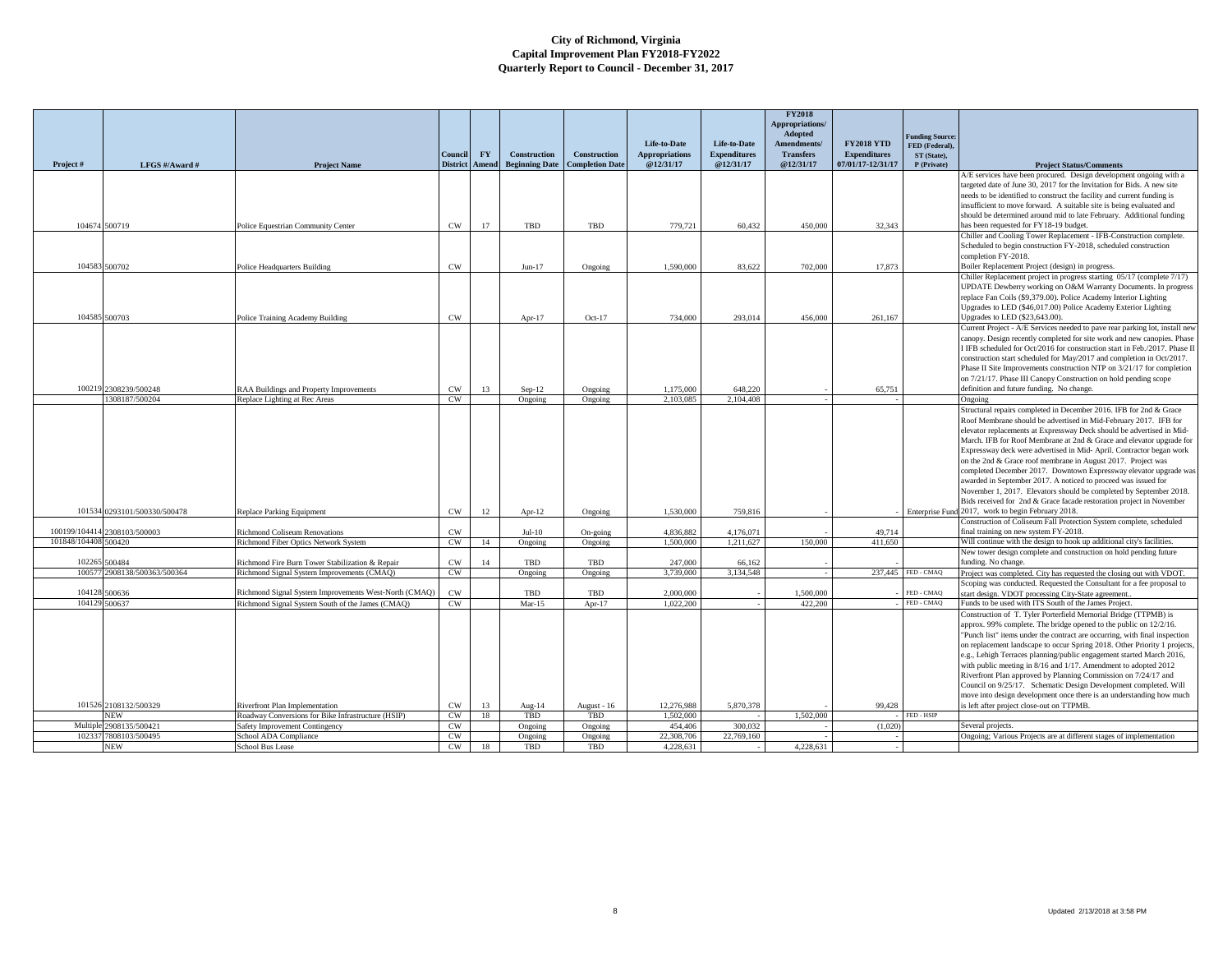|                      |                                 |                                                                                               |                 |       |                       |                        |                         |                     | <b>FY2018</b><br>Appropriations/ |                     |                                          |                                                                                                                                                        |
|----------------------|---------------------------------|-----------------------------------------------------------------------------------------------|-----------------|-------|-----------------------|------------------------|-------------------------|---------------------|----------------------------------|---------------------|------------------------------------------|--------------------------------------------------------------------------------------------------------------------------------------------------------|
|                      |                                 |                                                                                               |                 |       |                       |                        | Life-to-Date            | Life-to-Date        | Adopted<br><b>Amendments</b>     | <b>FY2018 YTD</b>   | <b>Funding Source:</b><br>FED (Federal). |                                                                                                                                                        |
|                      |                                 |                                                                                               | Council         | FY.   | <b>Construction</b>   | Construction           | <b>Appropriations</b>   | <b>Expenditures</b> | <b>Transfers</b>                 | <b>Expenditures</b> | ST (State).                              |                                                                                                                                                        |
| Project#             | LFGS #/Award #                  | <b>Project Name</b>                                                                           | <b>District</b> | Amend | <b>Beginning Date</b> | <b>Completion Date</b> | @12/31/17               | @12/31/17           | @12/31/17                        | 07/01/17-12/31/17   | P (Private)                              | <b>Project Status/Comments</b><br>A/E services have been procured. Design development ongoing with a                                                   |
|                      |                                 |                                                                                               |                 |       |                       |                        |                         |                     |                                  |                     |                                          | targeted date of June 30, 2017 for the Invitation for Bids. A new site                                                                                 |
|                      |                                 |                                                                                               |                 |       |                       |                        |                         |                     |                                  |                     |                                          | needs to be identified to construct the facility and current funding is                                                                                |
|                      |                                 |                                                                                               |                 |       |                       |                        |                         |                     |                                  |                     |                                          | insufficient to move forward. A suitable site is being evaluated and                                                                                   |
|                      |                                 |                                                                                               |                 |       |                       |                        |                         |                     |                                  |                     |                                          | should be determined around mid to late February. Additional funding                                                                                   |
|                      | 104674 500719                   | Police Equestrian Community Center                                                            | CW              | 17    | TBD                   | TBD                    | 779,721                 | 60,432              | 450,000                          | 32,343              |                                          | has been requested for FY18-19 budget.                                                                                                                 |
|                      |                                 |                                                                                               |                 |       |                       |                        |                         |                     |                                  |                     |                                          | Chiller and Cooling Tower Replacement - IFB-Construction complete.<br>Scheduled to begin construction FY-2018, scheduled construction                  |
|                      |                                 |                                                                                               |                 |       |                       |                        |                         |                     |                                  |                     |                                          | completion FY-2018.                                                                                                                                    |
|                      | 104583 500702                   | Police Headquarters Building                                                                  | CW              |       | $Jun-17$              | Ongoing                | 1,590,000               | 83,622              | 702,000                          | 17,873              |                                          | Boiler Replacement Project (design) in progress.                                                                                                       |
|                      |                                 |                                                                                               |                 |       |                       |                        |                         |                     |                                  |                     |                                          | Chiller Replacement project in progress starting 05/17 (complete 7/17)                                                                                 |
|                      |                                 |                                                                                               |                 |       |                       |                        |                         |                     |                                  |                     |                                          | UPDATE Dewberry working on O&M Warranty Documents. In progress                                                                                         |
|                      |                                 |                                                                                               |                 |       |                       |                        |                         |                     |                                  |                     |                                          | replace Fan Coils (\$9,379.00). Police Academy Interior Lighting                                                                                       |
|                      |                                 |                                                                                               |                 |       |                       |                        |                         |                     |                                  |                     |                                          | Upgrades to LED (\$46,017.00) Police Academy Exterior Lighting                                                                                         |
|                      | 104585 500703                   | Police Training Academy Building                                                              | <b>CW</b>       |       | Apr-17                | $Oct-17$               | 734,000                 | 293,014             | 456,000                          | 261.167             |                                          | Upgrades to LED (\$23,643.00).                                                                                                                         |
|                      |                                 |                                                                                               |                 |       |                       |                        |                         |                     |                                  |                     |                                          | Current Project - A/E Services needed to pave rear parking lot, install new<br>canopy. Design recently completed for site work and new canopies. Phase |
|                      |                                 |                                                                                               |                 |       |                       |                        |                         |                     |                                  |                     |                                          | I IFB scheduled for Oct/2016 for construction start in Feb./2017. Phase II                                                                             |
|                      |                                 |                                                                                               |                 |       |                       |                        |                         |                     |                                  |                     |                                          | construction start scheduled for May/2017 and completion in Oct/2017.                                                                                  |
|                      |                                 |                                                                                               |                 |       |                       |                        |                         |                     |                                  |                     |                                          | Phase II Site Improvements construction NTP on 3/21/17 for completion                                                                                  |
|                      |                                 |                                                                                               |                 |       |                       |                        |                         |                     |                                  |                     |                                          | on 7/21/17. Phase III Canopy Construction on hold pending scope                                                                                        |
|                      | 100219 2308239/500248           | RAA Buildings and Property Improvements                                                       | $\mathrm{CW}$   | 13    | $Sep-12$              | Ongoing                | 1.175,000               | 648.220             |                                  | 65.751              |                                          | definition and future funding. No change.                                                                                                              |
|                      | 1308187/500204                  | Replace Lighting at Rec Areas                                                                 | <b>CW</b>       |       | Ongoing               | Ongoing                | 2.103.085               | 2.104.408           |                                  |                     |                                          | Ongoing                                                                                                                                                |
|                      |                                 |                                                                                               |                 |       |                       |                        |                         |                     |                                  |                     |                                          | Structural repairs completed in December 2016. IFB for 2nd & Grace                                                                                     |
|                      |                                 |                                                                                               |                 |       |                       |                        |                         |                     |                                  |                     |                                          | Roof Membrane should be advertised in Mid-February 2017. IFB for<br>elevator replacements at Expressway Deck should be advertised in Mid-              |
|                      |                                 |                                                                                               |                 |       |                       |                        |                         |                     |                                  |                     |                                          | March. IFB for Roof Membrane at 2nd & Grace and elevator upgrade for                                                                                   |
|                      |                                 |                                                                                               |                 |       |                       |                        |                         |                     |                                  |                     |                                          | Expressway deck were advertised in Mid-April. Contractor began work                                                                                    |
|                      |                                 |                                                                                               |                 |       |                       |                        |                         |                     |                                  |                     |                                          | on the 2nd & Grace roof membrane in August 2017. Project was                                                                                           |
|                      |                                 |                                                                                               |                 |       |                       |                        |                         |                     |                                  |                     |                                          | completed December 2017. Downtown Expressway elevator upgrade was                                                                                      |
|                      |                                 |                                                                                               |                 |       |                       |                        |                         |                     |                                  |                     |                                          | awarded in September 2017. A noticed to proceed was issued for                                                                                         |
|                      |                                 |                                                                                               |                 |       |                       |                        |                         |                     |                                  |                     |                                          | November 1, 2017. Elevators should be completed by September 2018.<br>Bids received for 2nd & Grace facade restoration project in November             |
|                      | 101534 0293101/500330/500478    | <b>Replace Parking Equipment</b>                                                              | CW              | 12    | Apr- $12$             | Ongoing                | 1.530,000               | 759,816             |                                  |                     |                                          | Enterprise Fund 2017, work to begin February 2018.                                                                                                     |
|                      |                                 |                                                                                               |                 |       |                       |                        |                         |                     |                                  |                     |                                          | Construction of Coliseum Fall Protection System complete, scheduled                                                                                    |
| 100199/104414        | 2308103/500003                  | Richmond Coliseum Renovations                                                                 | $\rm CW$        |       | $Jul-10$              | On-going               | 4,836,882               | 4.176.071           |                                  | 49.714              |                                          | final training on new system FY-2018.                                                                                                                  |
| 101848/104408 500420 |                                 | Richmond Fiber Optics Network System                                                          | CW              | 14    | Ongoing               | Ongoing                | 1,500,000               | 1,211,627           | 150,000                          | 411,650             |                                          | Will continue with the design to hook up additional city's facilities.                                                                                 |
|                      |                                 |                                                                                               |                 |       |                       |                        |                         |                     |                                  |                     |                                          | New tower design complete and construction on hold pending future                                                                                      |
| 102265<br>10057      | 500484<br>2908138/500363/500364 | Richmond Fire Burn Tower Stabilization & Repair<br>Richmond Signal System Improvements (CMAQ) | CW<br>CW        | 14    | TBD<br>Ongoing        | TBD<br>Ongoing         | 247,000<br>3,739,000    | 66.162<br>3.134.548 |                                  | 237,445             | FED - CMAQ                               | funding. No change.<br>Project was completed. City has requested the closing out with VDOT                                                             |
|                      |                                 |                                                                                               |                 |       |                       |                        |                         |                     |                                  |                     |                                          | Scoping was conducted. Requested the Consultant for a fee proposal to                                                                                  |
| 104128               | 500636                          | Richmond Signal System Improvements West-North (CMAQ)                                         | CW              |       | TBD                   | TBD                    | 2.000.000               |                     | 1,500,000                        |                     | FED - CMAQ                               | tart design. VDOT processing City-State agreement.                                                                                                     |
| 104129               | 500637                          | Richmond Signal System South of the James (CMAQ                                               | CW              |       | $Mar-15$              | Apr-17                 | 1.022.200               |                     | 422,200                          |                     | FED - CMAQ                               | Funds to be used with ITS South of the James Project.                                                                                                  |
|                      |                                 |                                                                                               |                 |       |                       |                        |                         |                     |                                  |                     |                                          | Construction of T. Tyler Porterfield Memorial Bridge (TTPMB) is                                                                                        |
|                      |                                 |                                                                                               |                 |       |                       |                        |                         |                     |                                  |                     |                                          | approx. 99% complete. The bridge opened to the public on 12/2/16.                                                                                      |
|                      |                                 |                                                                                               |                 |       |                       |                        |                         |                     |                                  |                     |                                          | "Punch list" items under the contract are occurring, with final inspection                                                                             |
|                      |                                 |                                                                                               |                 |       |                       |                        |                         |                     |                                  |                     |                                          | on replacement landscape to occur Spring 2018. Other Priority 1 projects,                                                                              |
|                      |                                 |                                                                                               |                 |       |                       |                        |                         |                     |                                  |                     |                                          | e.g., Lehigh Terraces planning/public engagement started March 2016,<br>with public meeting in 8/16 and 1/17. Amendment to adopted 2012                |
|                      |                                 |                                                                                               |                 |       |                       |                        |                         |                     |                                  |                     |                                          | Riverfront Plan approved by Planning Commission on 7/24/17 and                                                                                         |
|                      |                                 |                                                                                               |                 |       |                       |                        |                         |                     |                                  |                     |                                          | Council on 9/25/17. Schematic Design Development completed. Will                                                                                       |
|                      |                                 |                                                                                               |                 |       |                       |                        |                         |                     |                                  |                     |                                          | move into design development once there is an understanding how much                                                                                   |
|                      | 101526 2108132/500329           | Riverfront Plan Implementation                                                                | $\mathrm{CW}$   | 13    | Aug-14                | August - 16            | 12,276,988              | 5,870,378           |                                  | 99,428              |                                          | s left after project close-out on TTPMB.                                                                                                               |
|                      | <b>NEW</b>                      | Roadway Conversions for Bike Infrastructure (HSIP)                                            | CW              | 18    | TBD                   | TBD                    | 1,502,000               |                     | 1.502,000                        |                     | FED - HSIP                               |                                                                                                                                                        |
| Multiple<br>10233    | 2908135/500421                  | Safety Improvement Contingency                                                                | CW              |       | Ongoing               | Ongoing                | 454,406                 | 300,032             |                                  | (1,020)             |                                          | Several projects.                                                                                                                                      |
|                      | 7808103/500495<br>NEW           | School ADA Compliance<br>School Bus Lease                                                     | CW<br><b>CW</b> | 18    | Ongoing<br>TBD        | Ongoing<br>TBD         | 22,308,706<br>4,228,631 | 22,769,160          | 4,228,631                        |                     |                                          | Ongoing; Various Projects are at different stages of implementation                                                                                    |
|                      |                                 |                                                                                               |                 |       |                       |                        |                         |                     |                                  |                     |                                          |                                                                                                                                                        |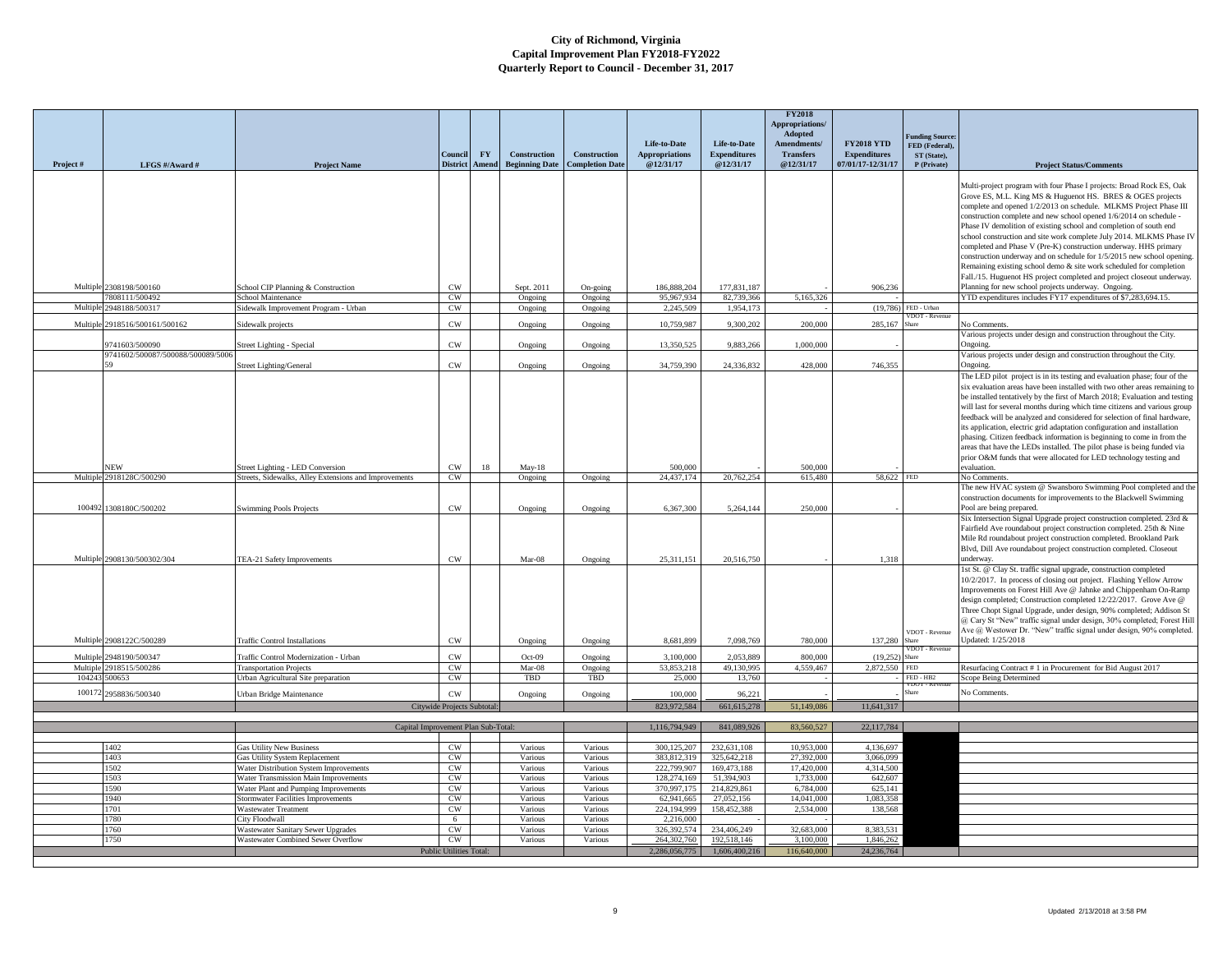| unding Source:<br><b>FY2018 YTD</b><br>Life-to-Date<br>Life-to-Date<br>Amendments/<br>FED (Federal),<br><b>Expenditures</b><br><b>Expenditures</b><br><b>FY</b><br>Construction<br>Construction<br><b>Appropriations</b><br><b>Transfers</b><br>Council<br>ST (State),<br><b>Beginning Date</b><br><b>Completion Date</b><br>@12/31/17<br>@12/31/17<br>07/01/17-12/31/17<br><b>District</b> Amend<br>@12/31/17<br>Project#<br>P (Private)<br>LFGS #/Award #<br><b>Project Status/Comments</b><br><b>Project Name</b><br>Multi-project program with four Phase I projects: Broad Rock ES, Oak<br>Grove ES, M.L. King MS & Huguenot HS. BRES & OGES projects<br>complete and opened 1/2/2013 on schedule. MLKMS Project Phase III<br>construction complete and new school opened 1/6/2014 on schedule -<br>Phase IV demolition of existing school and completion of south end<br>school construction and site work complete July 2014. MLKMS Phase IV<br>completed and Phase V (Pre-K) construction underway. HHS primary<br>construction underway and on schedule for 1/5/2015 new school opening<br>Remaining existing school demo & site work scheduled for completion<br>Fall./15. Huguenot HS project completed and project closeout underway.<br>Multiple 2308198/500160<br>177,831,187<br>906.236<br>Planning for new school projects underway. Ongoing.<br>School CIP Planning & Construction<br>CW<br>Sept. 2011<br>186,888,204<br>On-going<br>7808111/500492<br>CW<br>95,967,934<br>82,739,366<br>5.165,326<br>YTD expenditures includes FY17 expenditures of \$7,283,694.15.<br>School Maintenance<br>Ongoing<br>Ongoing<br>2948188/500317<br>$(19,786)$ FED - Urban<br>Multiple<br>$\mathrm{CW}$<br>2,245,509<br>1,954,173<br>Sidewalk Improvement Program - Urban<br>Ongoing<br>Ongoing<br>/DOT - Revenue<br>2918516/500161/500162<br>Multiple<br>$_{\rm CW}$<br>10,759,987<br>9,300,202<br>200,000<br>285,167<br>No Comments<br>Sidewalk projects<br>Ongoing<br>Ongoing<br>hare<br>Various projects under design and construction throughout the City.<br>CW<br>13,350,525<br>9,883,266<br>1,000,000<br>741603/500090<br>Street Lighting - Special<br>Ongoing<br>Ongoing.<br>Ongoing<br>9741602/500087/500088/500089/5000<br>Various projects under design and construction throughout the City.<br>CW<br>34,759,390<br>24,336,832<br>746,355<br>428,000<br><b>Street Lighting/General</b><br>Ongoing<br>Ongoing<br>Ongoing.<br>The LED pilot project is in its testing and evaluation phase; four of the<br>six evaluation areas have been installed with two other areas remaining to<br>be installed tentatively by the first of March 2018; Evaluation and testing<br>will last for several months during which time citizens and various group<br>feedback will be analyzed and considered for selection of final hardware,<br>its application, electric grid adaptation configuration and installation<br>phasing. Citizen feedback information is beginning to come in from the<br>areas that have the LEDs installed. The pilot phase is being funded via<br>prior O&M funds that were allocated for LED technology testing and<br>JEW<br>Street Lighting - LED Conversion<br>CW<br>18<br>$Mav-18$<br>500,000<br>500,000<br>evaluation.<br>2918128C/500290<br>24,437,174<br>20,762,254<br>615,480<br>Multiple<br>Streets, Sidewalks, Alley Extensions and Improvements<br>$\mathrm{CW}$<br>Ongoing<br>Ongoing<br>58,622 FED<br>No Comments.<br>The new HVAC system @ Swansboro Swimming Pool completed and the<br>construction documents for improvements to the Blackwell Swimming<br>100492<br>1308180C/500202<br>CW<br>6,367,300<br>5.264.144<br>250,000<br>Pool are being prepared.<br><b>Swimming Pools Projects</b><br>Ongoing<br>Ongoing<br>Six Intersection Signal Upgrade project construction completed. 23rd &<br>Fairfield Ave roundabout project construction completed. 25th & Nine<br>Mile Rd roundabout project construction completed. Brookland Park<br>Blvd, Dill Ave roundabout project construction completed. Closeout<br>Multiple 2908130/500302/304<br>$_{\mbox{\scriptsize CW}}$<br>Mar-08<br>25,311,151<br>20,516,750<br>1,318<br>TEA-21 Safety Improvements<br>Ongoing<br>underway.<br>1st St. @ Clay St. traffic signal upgrade, construction completed<br>10/2/2017. In process of closing out project. Flashing Yellow Arrow<br>Improvements on Forest Hill Ave @ Jahnke and Chippenham On-Ramp<br>design completed; Construction completed 12/22/2017. Grove Ave @<br>Three Chopt Signal Upgrade, under design, 90% completed; Addison St<br>@ Cary St "New" traffic signal under design, 30% completed; Forest Hill<br>Ave @ Westower Dr. "New" traffic signal under design, 90% completed<br>VDOT - Revenue<br>Multiple 2908122C/500289<br><b>Traffic Control Installations</b><br>8,681,899<br>7,098,769<br>780,000<br>137,280<br>Jpdated: 1/25/2018<br>CW<br>Ongoing<br>Ongoing<br>hare<br>VDOT - Revenu<br>CW<br>Multiple<br>2948190/500347<br>3,100,000<br>2,053,889<br>Traffic Control Modernization - Urban<br>$Oct-09$<br>Ongoing<br>800.000<br>(19,252)<br>Share<br>2918515/500286<br>49.130.995<br>4.559.467<br>Multiple<br><b>Transportation Projects</b><br>CW<br>Mar-08<br>53,853,218<br>2,872,550 FED<br>Resurfacing Contract # 1 in Procurement for Bid August 2017<br>Ongoing<br>104243<br>500653<br>Urban Agricultural Site preparation<br>CW<br>TBD<br>TBD<br>25,000<br>13,760<br>FED - HB2<br>Scope Being Determined<br>No Comments.<br>100172<br>$cm$<br>.<br>Share<br>2958836/500340<br>100,000<br>96.221<br>Urban Bridge Maintenance<br>Ongoing<br>Ongoing<br>823,972,584<br>661, 615, 278<br>51,149,086<br>11,641,317<br>Citywide Projects Subtotal:<br>83,560,527<br>22,117,784<br>Capital Improvement Plan Sub-Total:<br>1,116,794,949<br>841,089,926<br>232,631,108<br>10,953,000<br>CW<br>300,125,207<br>4,136,697<br><b>Gas Utility New Business</b><br>Various<br>1402<br>Various<br>27,392,000<br>CW<br>383,812,319<br>325,642,218<br>3,066,099<br>1403<br>Gas Utility System Replacement<br>Various<br>Various<br>4,314,500<br>CW<br>222,799,907<br>169,473,188<br>17,420,000<br>1502<br>Water Distribution System Improvements<br>Various<br>Various<br>CW<br>642,607<br>1503<br>Water Transmission Main Improvements<br>Various<br>Various<br>128,274,169<br>51,394,903<br>1,733,000<br>1590<br>Water Plant and Pumping Improvements<br>CW<br>Various<br>Various<br>370,997,175<br>214,829,861<br>6,784,000<br>625,141<br>1940<br>Stormwater Facilities Improvements<br>CW<br>62,941,665<br>27.052.156<br>14,041,000<br>1.083.358<br>Various<br>Various<br>CW<br>224.194.999<br>158,452,388<br>2,534,000<br>138,568<br>1701<br><b>Wastewater Treatment</b><br>Various<br>Various<br>2.216,000<br>1780<br>City Floodwall<br>6<br>Various<br>Various<br>1760<br>Wastewater Sanitary Sewer Upgrades<br>CW<br>Various<br>326.392.574<br>234,406.249<br>32,683,000<br>8.383.531<br>Various<br>192.518.146<br>1,846,262<br>1750<br>Wastewater Combined Sewer Overflow<br>CW<br>Various<br>Various<br>264.302.760<br>3.100.000<br>Public Utilities Total:<br>2,286,056,775<br>1,606,400,216<br>116,640,000<br>24,236,764 |  |  |  |  | <b>FY2018</b><br>Appropriations/<br>Adopted |  |  |
|--------------------------------------------------------------------------------------------------------------------------------------------------------------------------------------------------------------------------------------------------------------------------------------------------------------------------------------------------------------------------------------------------------------------------------------------------------------------------------------------------------------------------------------------------------------------------------------------------------------------------------------------------------------------------------------------------------------------------------------------------------------------------------------------------------------------------------------------------------------------------------------------------------------------------------------------------------------------------------------------------------------------------------------------------------------------------------------------------------------------------------------------------------------------------------------------------------------------------------------------------------------------------------------------------------------------------------------------------------------------------------------------------------------------------------------------------------------------------------------------------------------------------------------------------------------------------------------------------------------------------------------------------------------------------------------------------------------------------------------------------------------------------------------------------------------------------------------------------------------------------------------------------------------------------------------------------------------------------------------------------------------------------------------------------------------------------------------------------------------------------------------------------------------------------------------------------------------------------------------------------------------------------------------------------------------------------------------------------------------------------------------------------------------------------------------------------------------------------------------------------------------------------------------------------------------------------------------------------------------------------------------------------------------------------------------------------------------------------------------------------------------------------------------------------------------------------------------------------------------------------------------------------------------------------------------------------------------------------------------------------------------------------------------------------------------------------------------------------------------------------------------------------------------------------------------------------------------------------------------------------------------------------------------------------------------------------------------------------------------------------------------------------------------------------------------------------------------------------------------------------------------------------------------------------------------------------------------------------------------------------------------------------------------------------------------------------------------------------------------------------------------------------------------------------------------------------------------------------------------------------------------------------------------------------------------------------------------------------------------------------------------------------------------------------------------------------------------------------------------------------------------------------------------------------------------------------------------------------------------------------------------------------------------------------------------------------------------------------------------------------------------------------------------------------------------------------------------------------------------------------------------------------------------------------------------------------------------------------------------------------------------------------------------------------------------------------------------------------------------------------------------------------------------------------------------------------------------------------------------------------------------------------------------------------------------------------------------------------------------------------------------------------------------------------------------------------------------------------------------------------------------------------------------------------------------------------------------------------------------------------------------------------------------------------------------------------------------------------------------------------------------------------------------------------------------------------------------------------------------------------------------------------------------------------------------------------------------------------------------------------------------------------------------------------------------------------------------------------------------------------------------------------------------------------------------------------------------------------------------------------------------------------------------------------------------------------------------------------------------------------------------------------------------------------------------------------------------------------------------------------------------------------------------------------------------------------------------------------------------------------------------------------------------------------------------------------------------------------------------------------------------------------------------------------------------------------------------------------------------------------------------------------------------------------------------------------------------------------------------------------------------------------------------------------------------------------------------------------------------------------------------------------------------------------------------------------------------------------------------------------------------------------------------------------------------------------------------------------------------------------------------------------------------------------------------------------------------------------------------------------------------------------------------------------------------------------------|--|--|--|--|---------------------------------------------|--|--|
|                                                                                                                                                                                                                                                                                                                                                                                                                                                                                                                                                                                                                                                                                                                                                                                                                                                                                                                                                                                                                                                                                                                                                                                                                                                                                                                                                                                                                                                                                                                                                                                                                                                                                                                                                                                                                                                                                                                                                                                                                                                                                                                                                                                                                                                                                                                                                                                                                                                                                                                                                                                                                                                                                                                                                                                                                                                                                                                                                                                                                                                                                                                                                                                                                                                                                                                                                                                                                                                                                                                                                                                                                                                                                                                                                                                                                                                                                                                                                                                                                                                                                                                                                                                                                                                                                                                                                                                                                                                                                                                                                                                                                                                                                                                                                                                                                                                                                                                                                                                                                                                                                                                                                                                                                                                                                                                                                                                                                                                                                                                                                                                                                                                                                                                                                                                                                                                                                                                                                                                                                                                                                                                                                                                                                                                                                                                                                                                                                                                                                                                                                                                                                                                                                                                                                                                                                                                                                                                                                                                                                                                                                                                                                                                                        |  |  |  |  |                                             |  |  |
|                                                                                                                                                                                                                                                                                                                                                                                                                                                                                                                                                                                                                                                                                                                                                                                                                                                                                                                                                                                                                                                                                                                                                                                                                                                                                                                                                                                                                                                                                                                                                                                                                                                                                                                                                                                                                                                                                                                                                                                                                                                                                                                                                                                                                                                                                                                                                                                                                                                                                                                                                                                                                                                                                                                                                                                                                                                                                                                                                                                                                                                                                                                                                                                                                                                                                                                                                                                                                                                                                                                                                                                                                                                                                                                                                                                                                                                                                                                                                                                                                                                                                                                                                                                                                                                                                                                                                                                                                                                                                                                                                                                                                                                                                                                                                                                                                                                                                                                                                                                                                                                                                                                                                                                                                                                                                                                                                                                                                                                                                                                                                                                                                                                                                                                                                                                                                                                                                                                                                                                                                                                                                                                                                                                                                                                                                                                                                                                                                                                                                                                                                                                                                                                                                                                                                                                                                                                                                                                                                                                                                                                                                                                                                                                                        |  |  |  |  |                                             |  |  |
|                                                                                                                                                                                                                                                                                                                                                                                                                                                                                                                                                                                                                                                                                                                                                                                                                                                                                                                                                                                                                                                                                                                                                                                                                                                                                                                                                                                                                                                                                                                                                                                                                                                                                                                                                                                                                                                                                                                                                                                                                                                                                                                                                                                                                                                                                                                                                                                                                                                                                                                                                                                                                                                                                                                                                                                                                                                                                                                                                                                                                                                                                                                                                                                                                                                                                                                                                                                                                                                                                                                                                                                                                                                                                                                                                                                                                                                                                                                                                                                                                                                                                                                                                                                                                                                                                                                                                                                                                                                                                                                                                                                                                                                                                                                                                                                                                                                                                                                                                                                                                                                                                                                                                                                                                                                                                                                                                                                                                                                                                                                                                                                                                                                                                                                                                                                                                                                                                                                                                                                                                                                                                                                                                                                                                                                                                                                                                                                                                                                                                                                                                                                                                                                                                                                                                                                                                                                                                                                                                                                                                                                                                                                                                                                                        |  |  |  |  |                                             |  |  |
|                                                                                                                                                                                                                                                                                                                                                                                                                                                                                                                                                                                                                                                                                                                                                                                                                                                                                                                                                                                                                                                                                                                                                                                                                                                                                                                                                                                                                                                                                                                                                                                                                                                                                                                                                                                                                                                                                                                                                                                                                                                                                                                                                                                                                                                                                                                                                                                                                                                                                                                                                                                                                                                                                                                                                                                                                                                                                                                                                                                                                                                                                                                                                                                                                                                                                                                                                                                                                                                                                                                                                                                                                                                                                                                                                                                                                                                                                                                                                                                                                                                                                                                                                                                                                                                                                                                                                                                                                                                                                                                                                                                                                                                                                                                                                                                                                                                                                                                                                                                                                                                                                                                                                                                                                                                                                                                                                                                                                                                                                                                                                                                                                                                                                                                                                                                                                                                                                                                                                                                                                                                                                                                                                                                                                                                                                                                                                                                                                                                                                                                                                                                                                                                                                                                                                                                                                                                                                                                                                                                                                                                                                                                                                                                                        |  |  |  |  |                                             |  |  |
|                                                                                                                                                                                                                                                                                                                                                                                                                                                                                                                                                                                                                                                                                                                                                                                                                                                                                                                                                                                                                                                                                                                                                                                                                                                                                                                                                                                                                                                                                                                                                                                                                                                                                                                                                                                                                                                                                                                                                                                                                                                                                                                                                                                                                                                                                                                                                                                                                                                                                                                                                                                                                                                                                                                                                                                                                                                                                                                                                                                                                                                                                                                                                                                                                                                                                                                                                                                                                                                                                                                                                                                                                                                                                                                                                                                                                                                                                                                                                                                                                                                                                                                                                                                                                                                                                                                                                                                                                                                                                                                                                                                                                                                                                                                                                                                                                                                                                                                                                                                                                                                                                                                                                                                                                                                                                                                                                                                                                                                                                                                                                                                                                                                                                                                                                                                                                                                                                                                                                                                                                                                                                                                                                                                                                                                                                                                                                                                                                                                                                                                                                                                                                                                                                                                                                                                                                                                                                                                                                                                                                                                                                                                                                                                                        |  |  |  |  |                                             |  |  |
|                                                                                                                                                                                                                                                                                                                                                                                                                                                                                                                                                                                                                                                                                                                                                                                                                                                                                                                                                                                                                                                                                                                                                                                                                                                                                                                                                                                                                                                                                                                                                                                                                                                                                                                                                                                                                                                                                                                                                                                                                                                                                                                                                                                                                                                                                                                                                                                                                                                                                                                                                                                                                                                                                                                                                                                                                                                                                                                                                                                                                                                                                                                                                                                                                                                                                                                                                                                                                                                                                                                                                                                                                                                                                                                                                                                                                                                                                                                                                                                                                                                                                                                                                                                                                                                                                                                                                                                                                                                                                                                                                                                                                                                                                                                                                                                                                                                                                                                                                                                                                                                                                                                                                                                                                                                                                                                                                                                                                                                                                                                                                                                                                                                                                                                                                                                                                                                                                                                                                                                                                                                                                                                                                                                                                                                                                                                                                                                                                                                                                                                                                                                                                                                                                                                                                                                                                                                                                                                                                                                                                                                                                                                                                                                                        |  |  |  |  |                                             |  |  |
|                                                                                                                                                                                                                                                                                                                                                                                                                                                                                                                                                                                                                                                                                                                                                                                                                                                                                                                                                                                                                                                                                                                                                                                                                                                                                                                                                                                                                                                                                                                                                                                                                                                                                                                                                                                                                                                                                                                                                                                                                                                                                                                                                                                                                                                                                                                                                                                                                                                                                                                                                                                                                                                                                                                                                                                                                                                                                                                                                                                                                                                                                                                                                                                                                                                                                                                                                                                                                                                                                                                                                                                                                                                                                                                                                                                                                                                                                                                                                                                                                                                                                                                                                                                                                                                                                                                                                                                                                                                                                                                                                                                                                                                                                                                                                                                                                                                                                                                                                                                                                                                                                                                                                                                                                                                                                                                                                                                                                                                                                                                                                                                                                                                                                                                                                                                                                                                                                                                                                                                                                                                                                                                                                                                                                                                                                                                                                                                                                                                                                                                                                                                                                                                                                                                                                                                                                                                                                                                                                                                                                                                                                                                                                                                                        |  |  |  |  |                                             |  |  |
|                                                                                                                                                                                                                                                                                                                                                                                                                                                                                                                                                                                                                                                                                                                                                                                                                                                                                                                                                                                                                                                                                                                                                                                                                                                                                                                                                                                                                                                                                                                                                                                                                                                                                                                                                                                                                                                                                                                                                                                                                                                                                                                                                                                                                                                                                                                                                                                                                                                                                                                                                                                                                                                                                                                                                                                                                                                                                                                                                                                                                                                                                                                                                                                                                                                                                                                                                                                                                                                                                                                                                                                                                                                                                                                                                                                                                                                                                                                                                                                                                                                                                                                                                                                                                                                                                                                                                                                                                                                                                                                                                                                                                                                                                                                                                                                                                                                                                                                                                                                                                                                                                                                                                                                                                                                                                                                                                                                                                                                                                                                                                                                                                                                                                                                                                                                                                                                                                                                                                                                                                                                                                                                                                                                                                                                                                                                                                                                                                                                                                                                                                                                                                                                                                                                                                                                                                                                                                                                                                                                                                                                                                                                                                                                                        |  |  |  |  |                                             |  |  |
|                                                                                                                                                                                                                                                                                                                                                                                                                                                                                                                                                                                                                                                                                                                                                                                                                                                                                                                                                                                                                                                                                                                                                                                                                                                                                                                                                                                                                                                                                                                                                                                                                                                                                                                                                                                                                                                                                                                                                                                                                                                                                                                                                                                                                                                                                                                                                                                                                                                                                                                                                                                                                                                                                                                                                                                                                                                                                                                                                                                                                                                                                                                                                                                                                                                                                                                                                                                                                                                                                                                                                                                                                                                                                                                                                                                                                                                                                                                                                                                                                                                                                                                                                                                                                                                                                                                                                                                                                                                                                                                                                                                                                                                                                                                                                                                                                                                                                                                                                                                                                                                                                                                                                                                                                                                                                                                                                                                                                                                                                                                                                                                                                                                                                                                                                                                                                                                                                                                                                                                                                                                                                                                                                                                                                                                                                                                                                                                                                                                                                                                                                                                                                                                                                                                                                                                                                                                                                                                                                                                                                                                                                                                                                                                                        |  |  |  |  |                                             |  |  |
|                                                                                                                                                                                                                                                                                                                                                                                                                                                                                                                                                                                                                                                                                                                                                                                                                                                                                                                                                                                                                                                                                                                                                                                                                                                                                                                                                                                                                                                                                                                                                                                                                                                                                                                                                                                                                                                                                                                                                                                                                                                                                                                                                                                                                                                                                                                                                                                                                                                                                                                                                                                                                                                                                                                                                                                                                                                                                                                                                                                                                                                                                                                                                                                                                                                                                                                                                                                                                                                                                                                                                                                                                                                                                                                                                                                                                                                                                                                                                                                                                                                                                                                                                                                                                                                                                                                                                                                                                                                                                                                                                                                                                                                                                                                                                                                                                                                                                                                                                                                                                                                                                                                                                                                                                                                                                                                                                                                                                                                                                                                                                                                                                                                                                                                                                                                                                                                                                                                                                                                                                                                                                                                                                                                                                                                                                                                                                                                                                                                                                                                                                                                                                                                                                                                                                                                                                                                                                                                                                                                                                                                                                                                                                                                                        |  |  |  |  |                                             |  |  |
|                                                                                                                                                                                                                                                                                                                                                                                                                                                                                                                                                                                                                                                                                                                                                                                                                                                                                                                                                                                                                                                                                                                                                                                                                                                                                                                                                                                                                                                                                                                                                                                                                                                                                                                                                                                                                                                                                                                                                                                                                                                                                                                                                                                                                                                                                                                                                                                                                                                                                                                                                                                                                                                                                                                                                                                                                                                                                                                                                                                                                                                                                                                                                                                                                                                                                                                                                                                                                                                                                                                                                                                                                                                                                                                                                                                                                                                                                                                                                                                                                                                                                                                                                                                                                                                                                                                                                                                                                                                                                                                                                                                                                                                                                                                                                                                                                                                                                                                                                                                                                                                                                                                                                                                                                                                                                                                                                                                                                                                                                                                                                                                                                                                                                                                                                                                                                                                                                                                                                                                                                                                                                                                                                                                                                                                                                                                                                                                                                                                                                                                                                                                                                                                                                                                                                                                                                                                                                                                                                                                                                                                                                                                                                                                                        |  |  |  |  |                                             |  |  |
|                                                                                                                                                                                                                                                                                                                                                                                                                                                                                                                                                                                                                                                                                                                                                                                                                                                                                                                                                                                                                                                                                                                                                                                                                                                                                                                                                                                                                                                                                                                                                                                                                                                                                                                                                                                                                                                                                                                                                                                                                                                                                                                                                                                                                                                                                                                                                                                                                                                                                                                                                                                                                                                                                                                                                                                                                                                                                                                                                                                                                                                                                                                                                                                                                                                                                                                                                                                                                                                                                                                                                                                                                                                                                                                                                                                                                                                                                                                                                                                                                                                                                                                                                                                                                                                                                                                                                                                                                                                                                                                                                                                                                                                                                                                                                                                                                                                                                                                                                                                                                                                                                                                                                                                                                                                                                                                                                                                                                                                                                                                                                                                                                                                                                                                                                                                                                                                                                                                                                                                                                                                                                                                                                                                                                                                                                                                                                                                                                                                                                                                                                                                                                                                                                                                                                                                                                                                                                                                                                                                                                                                                                                                                                                                                        |  |  |  |  |                                             |  |  |
|                                                                                                                                                                                                                                                                                                                                                                                                                                                                                                                                                                                                                                                                                                                                                                                                                                                                                                                                                                                                                                                                                                                                                                                                                                                                                                                                                                                                                                                                                                                                                                                                                                                                                                                                                                                                                                                                                                                                                                                                                                                                                                                                                                                                                                                                                                                                                                                                                                                                                                                                                                                                                                                                                                                                                                                                                                                                                                                                                                                                                                                                                                                                                                                                                                                                                                                                                                                                                                                                                                                                                                                                                                                                                                                                                                                                                                                                                                                                                                                                                                                                                                                                                                                                                                                                                                                                                                                                                                                                                                                                                                                                                                                                                                                                                                                                                                                                                                                                                                                                                                                                                                                                                                                                                                                                                                                                                                                                                                                                                                                                                                                                                                                                                                                                                                                                                                                                                                                                                                                                                                                                                                                                                                                                                                                                                                                                                                                                                                                                                                                                                                                                                                                                                                                                                                                                                                                                                                                                                                                                                                                                                                                                                                                                        |  |  |  |  |                                             |  |  |
|                                                                                                                                                                                                                                                                                                                                                                                                                                                                                                                                                                                                                                                                                                                                                                                                                                                                                                                                                                                                                                                                                                                                                                                                                                                                                                                                                                                                                                                                                                                                                                                                                                                                                                                                                                                                                                                                                                                                                                                                                                                                                                                                                                                                                                                                                                                                                                                                                                                                                                                                                                                                                                                                                                                                                                                                                                                                                                                                                                                                                                                                                                                                                                                                                                                                                                                                                                                                                                                                                                                                                                                                                                                                                                                                                                                                                                                                                                                                                                                                                                                                                                                                                                                                                                                                                                                                                                                                                                                                                                                                                                                                                                                                                                                                                                                                                                                                                                                                                                                                                                                                                                                                                                                                                                                                                                                                                                                                                                                                                                                                                                                                                                                                                                                                                                                                                                                                                                                                                                                                                                                                                                                                                                                                                                                                                                                                                                                                                                                                                                                                                                                                                                                                                                                                                                                                                                                                                                                                                                                                                                                                                                                                                                                                        |  |  |  |  |                                             |  |  |
|                                                                                                                                                                                                                                                                                                                                                                                                                                                                                                                                                                                                                                                                                                                                                                                                                                                                                                                                                                                                                                                                                                                                                                                                                                                                                                                                                                                                                                                                                                                                                                                                                                                                                                                                                                                                                                                                                                                                                                                                                                                                                                                                                                                                                                                                                                                                                                                                                                                                                                                                                                                                                                                                                                                                                                                                                                                                                                                                                                                                                                                                                                                                                                                                                                                                                                                                                                                                                                                                                                                                                                                                                                                                                                                                                                                                                                                                                                                                                                                                                                                                                                                                                                                                                                                                                                                                                                                                                                                                                                                                                                                                                                                                                                                                                                                                                                                                                                                                                                                                                                                                                                                                                                                                                                                                                                                                                                                                                                                                                                                                                                                                                                                                                                                                                                                                                                                                                                                                                                                                                                                                                                                                                                                                                                                                                                                                                                                                                                                                                                                                                                                                                                                                                                                                                                                                                                                                                                                                                                                                                                                                                                                                                                                                        |  |  |  |  |                                             |  |  |
|                                                                                                                                                                                                                                                                                                                                                                                                                                                                                                                                                                                                                                                                                                                                                                                                                                                                                                                                                                                                                                                                                                                                                                                                                                                                                                                                                                                                                                                                                                                                                                                                                                                                                                                                                                                                                                                                                                                                                                                                                                                                                                                                                                                                                                                                                                                                                                                                                                                                                                                                                                                                                                                                                                                                                                                                                                                                                                                                                                                                                                                                                                                                                                                                                                                                                                                                                                                                                                                                                                                                                                                                                                                                                                                                                                                                                                                                                                                                                                                                                                                                                                                                                                                                                                                                                                                                                                                                                                                                                                                                                                                                                                                                                                                                                                                                                                                                                                                                                                                                                                                                                                                                                                                                                                                                                                                                                                                                                                                                                                                                                                                                                                                                                                                                                                                                                                                                                                                                                                                                                                                                                                                                                                                                                                                                                                                                                                                                                                                                                                                                                                                                                                                                                                                                                                                                                                                                                                                                                                                                                                                                                                                                                                                                        |  |  |  |  |                                             |  |  |
|                                                                                                                                                                                                                                                                                                                                                                                                                                                                                                                                                                                                                                                                                                                                                                                                                                                                                                                                                                                                                                                                                                                                                                                                                                                                                                                                                                                                                                                                                                                                                                                                                                                                                                                                                                                                                                                                                                                                                                                                                                                                                                                                                                                                                                                                                                                                                                                                                                                                                                                                                                                                                                                                                                                                                                                                                                                                                                                                                                                                                                                                                                                                                                                                                                                                                                                                                                                                                                                                                                                                                                                                                                                                                                                                                                                                                                                                                                                                                                                                                                                                                                                                                                                                                                                                                                                                                                                                                                                                                                                                                                                                                                                                                                                                                                                                                                                                                                                                                                                                                                                                                                                                                                                                                                                                                                                                                                                                                                                                                                                                                                                                                                                                                                                                                                                                                                                                                                                                                                                                                                                                                                                                                                                                                                                                                                                                                                                                                                                                                                                                                                                                                                                                                                                                                                                                                                                                                                                                                                                                                                                                                                                                                                                                        |  |  |  |  |                                             |  |  |
|                                                                                                                                                                                                                                                                                                                                                                                                                                                                                                                                                                                                                                                                                                                                                                                                                                                                                                                                                                                                                                                                                                                                                                                                                                                                                                                                                                                                                                                                                                                                                                                                                                                                                                                                                                                                                                                                                                                                                                                                                                                                                                                                                                                                                                                                                                                                                                                                                                                                                                                                                                                                                                                                                                                                                                                                                                                                                                                                                                                                                                                                                                                                                                                                                                                                                                                                                                                                                                                                                                                                                                                                                                                                                                                                                                                                                                                                                                                                                                                                                                                                                                                                                                                                                                                                                                                                                                                                                                                                                                                                                                                                                                                                                                                                                                                                                                                                                                                                                                                                                                                                                                                                                                                                                                                                                                                                                                                                                                                                                                                                                                                                                                                                                                                                                                                                                                                                                                                                                                                                                                                                                                                                                                                                                                                                                                                                                                                                                                                                                                                                                                                                                                                                                                                                                                                                                                                                                                                                                                                                                                                                                                                                                                                                        |  |  |  |  |                                             |  |  |
|                                                                                                                                                                                                                                                                                                                                                                                                                                                                                                                                                                                                                                                                                                                                                                                                                                                                                                                                                                                                                                                                                                                                                                                                                                                                                                                                                                                                                                                                                                                                                                                                                                                                                                                                                                                                                                                                                                                                                                                                                                                                                                                                                                                                                                                                                                                                                                                                                                                                                                                                                                                                                                                                                                                                                                                                                                                                                                                                                                                                                                                                                                                                                                                                                                                                                                                                                                                                                                                                                                                                                                                                                                                                                                                                                                                                                                                                                                                                                                                                                                                                                                                                                                                                                                                                                                                                                                                                                                                                                                                                                                                                                                                                                                                                                                                                                                                                                                                                                                                                                                                                                                                                                                                                                                                                                                                                                                                                                                                                                                                                                                                                                                                                                                                                                                                                                                                                                                                                                                                                                                                                                                                                                                                                                                                                                                                                                                                                                                                                                                                                                                                                                                                                                                                                                                                                                                                                                                                                                                                                                                                                                                                                                                                                        |  |  |  |  |                                             |  |  |
|                                                                                                                                                                                                                                                                                                                                                                                                                                                                                                                                                                                                                                                                                                                                                                                                                                                                                                                                                                                                                                                                                                                                                                                                                                                                                                                                                                                                                                                                                                                                                                                                                                                                                                                                                                                                                                                                                                                                                                                                                                                                                                                                                                                                                                                                                                                                                                                                                                                                                                                                                                                                                                                                                                                                                                                                                                                                                                                                                                                                                                                                                                                                                                                                                                                                                                                                                                                                                                                                                                                                                                                                                                                                                                                                                                                                                                                                                                                                                                                                                                                                                                                                                                                                                                                                                                                                                                                                                                                                                                                                                                                                                                                                                                                                                                                                                                                                                                                                                                                                                                                                                                                                                                                                                                                                                                                                                                                                                                                                                                                                                                                                                                                                                                                                                                                                                                                                                                                                                                                                                                                                                                                                                                                                                                                                                                                                                                                                                                                                                                                                                                                                                                                                                                                                                                                                                                                                                                                                                                                                                                                                                                                                                                                                        |  |  |  |  |                                             |  |  |
|                                                                                                                                                                                                                                                                                                                                                                                                                                                                                                                                                                                                                                                                                                                                                                                                                                                                                                                                                                                                                                                                                                                                                                                                                                                                                                                                                                                                                                                                                                                                                                                                                                                                                                                                                                                                                                                                                                                                                                                                                                                                                                                                                                                                                                                                                                                                                                                                                                                                                                                                                                                                                                                                                                                                                                                                                                                                                                                                                                                                                                                                                                                                                                                                                                                                                                                                                                                                                                                                                                                                                                                                                                                                                                                                                                                                                                                                                                                                                                                                                                                                                                                                                                                                                                                                                                                                                                                                                                                                                                                                                                                                                                                                                                                                                                                                                                                                                                                                                                                                                                                                                                                                                                                                                                                                                                                                                                                                                                                                                                                                                                                                                                                                                                                                                                                                                                                                                                                                                                                                                                                                                                                                                                                                                                                                                                                                                                                                                                                                                                                                                                                                                                                                                                                                                                                                                                                                                                                                                                                                                                                                                                                                                                                                        |  |  |  |  |                                             |  |  |
|                                                                                                                                                                                                                                                                                                                                                                                                                                                                                                                                                                                                                                                                                                                                                                                                                                                                                                                                                                                                                                                                                                                                                                                                                                                                                                                                                                                                                                                                                                                                                                                                                                                                                                                                                                                                                                                                                                                                                                                                                                                                                                                                                                                                                                                                                                                                                                                                                                                                                                                                                                                                                                                                                                                                                                                                                                                                                                                                                                                                                                                                                                                                                                                                                                                                                                                                                                                                                                                                                                                                                                                                                                                                                                                                                                                                                                                                                                                                                                                                                                                                                                                                                                                                                                                                                                                                                                                                                                                                                                                                                                                                                                                                                                                                                                                                                                                                                                                                                                                                                                                                                                                                                                                                                                                                                                                                                                                                                                                                                                                                                                                                                                                                                                                                                                                                                                                                                                                                                                                                                                                                                                                                                                                                                                                                                                                                                                                                                                                                                                                                                                                                                                                                                                                                                                                                                                                                                                                                                                                                                                                                                                                                                                                                        |  |  |  |  |                                             |  |  |
|                                                                                                                                                                                                                                                                                                                                                                                                                                                                                                                                                                                                                                                                                                                                                                                                                                                                                                                                                                                                                                                                                                                                                                                                                                                                                                                                                                                                                                                                                                                                                                                                                                                                                                                                                                                                                                                                                                                                                                                                                                                                                                                                                                                                                                                                                                                                                                                                                                                                                                                                                                                                                                                                                                                                                                                                                                                                                                                                                                                                                                                                                                                                                                                                                                                                                                                                                                                                                                                                                                                                                                                                                                                                                                                                                                                                                                                                                                                                                                                                                                                                                                                                                                                                                                                                                                                                                                                                                                                                                                                                                                                                                                                                                                                                                                                                                                                                                                                                                                                                                                                                                                                                                                                                                                                                                                                                                                                                                                                                                                                                                                                                                                                                                                                                                                                                                                                                                                                                                                                                                                                                                                                                                                                                                                                                                                                                                                                                                                                                                                                                                                                                                                                                                                                                                                                                                                                                                                                                                                                                                                                                                                                                                                                                        |  |  |  |  |                                             |  |  |
|                                                                                                                                                                                                                                                                                                                                                                                                                                                                                                                                                                                                                                                                                                                                                                                                                                                                                                                                                                                                                                                                                                                                                                                                                                                                                                                                                                                                                                                                                                                                                                                                                                                                                                                                                                                                                                                                                                                                                                                                                                                                                                                                                                                                                                                                                                                                                                                                                                                                                                                                                                                                                                                                                                                                                                                                                                                                                                                                                                                                                                                                                                                                                                                                                                                                                                                                                                                                                                                                                                                                                                                                                                                                                                                                                                                                                                                                                                                                                                                                                                                                                                                                                                                                                                                                                                                                                                                                                                                                                                                                                                                                                                                                                                                                                                                                                                                                                                                                                                                                                                                                                                                                                                                                                                                                                                                                                                                                                                                                                                                                                                                                                                                                                                                                                                                                                                                                                                                                                                                                                                                                                                                                                                                                                                                                                                                                                                                                                                                                                                                                                                                                                                                                                                                                                                                                                                                                                                                                                                                                                                                                                                                                                                                                        |  |  |  |  |                                             |  |  |
|                                                                                                                                                                                                                                                                                                                                                                                                                                                                                                                                                                                                                                                                                                                                                                                                                                                                                                                                                                                                                                                                                                                                                                                                                                                                                                                                                                                                                                                                                                                                                                                                                                                                                                                                                                                                                                                                                                                                                                                                                                                                                                                                                                                                                                                                                                                                                                                                                                                                                                                                                                                                                                                                                                                                                                                                                                                                                                                                                                                                                                                                                                                                                                                                                                                                                                                                                                                                                                                                                                                                                                                                                                                                                                                                                                                                                                                                                                                                                                                                                                                                                                                                                                                                                                                                                                                                                                                                                                                                                                                                                                                                                                                                                                                                                                                                                                                                                                                                                                                                                                                                                                                                                                                                                                                                                                                                                                                                                                                                                                                                                                                                                                                                                                                                                                                                                                                                                                                                                                                                                                                                                                                                                                                                                                                                                                                                                                                                                                                                                                                                                                                                                                                                                                                                                                                                                                                                                                                                                                                                                                                                                                                                                                                                        |  |  |  |  |                                             |  |  |
|                                                                                                                                                                                                                                                                                                                                                                                                                                                                                                                                                                                                                                                                                                                                                                                                                                                                                                                                                                                                                                                                                                                                                                                                                                                                                                                                                                                                                                                                                                                                                                                                                                                                                                                                                                                                                                                                                                                                                                                                                                                                                                                                                                                                                                                                                                                                                                                                                                                                                                                                                                                                                                                                                                                                                                                                                                                                                                                                                                                                                                                                                                                                                                                                                                                                                                                                                                                                                                                                                                                                                                                                                                                                                                                                                                                                                                                                                                                                                                                                                                                                                                                                                                                                                                                                                                                                                                                                                                                                                                                                                                                                                                                                                                                                                                                                                                                                                                                                                                                                                                                                                                                                                                                                                                                                                                                                                                                                                                                                                                                                                                                                                                                                                                                                                                                                                                                                                                                                                                                                                                                                                                                                                                                                                                                                                                                                                                                                                                                                                                                                                                                                                                                                                                                                                                                                                                                                                                                                                                                                                                                                                                                                                                                                        |  |  |  |  |                                             |  |  |
|                                                                                                                                                                                                                                                                                                                                                                                                                                                                                                                                                                                                                                                                                                                                                                                                                                                                                                                                                                                                                                                                                                                                                                                                                                                                                                                                                                                                                                                                                                                                                                                                                                                                                                                                                                                                                                                                                                                                                                                                                                                                                                                                                                                                                                                                                                                                                                                                                                                                                                                                                                                                                                                                                                                                                                                                                                                                                                                                                                                                                                                                                                                                                                                                                                                                                                                                                                                                                                                                                                                                                                                                                                                                                                                                                                                                                                                                                                                                                                                                                                                                                                                                                                                                                                                                                                                                                                                                                                                                                                                                                                                                                                                                                                                                                                                                                                                                                                                                                                                                                                                                                                                                                                                                                                                                                                                                                                                                                                                                                                                                                                                                                                                                                                                                                                                                                                                                                                                                                                                                                                                                                                                                                                                                                                                                                                                                                                                                                                                                                                                                                                                                                                                                                                                                                                                                                                                                                                                                                                                                                                                                                                                                                                                                        |  |  |  |  |                                             |  |  |
|                                                                                                                                                                                                                                                                                                                                                                                                                                                                                                                                                                                                                                                                                                                                                                                                                                                                                                                                                                                                                                                                                                                                                                                                                                                                                                                                                                                                                                                                                                                                                                                                                                                                                                                                                                                                                                                                                                                                                                                                                                                                                                                                                                                                                                                                                                                                                                                                                                                                                                                                                                                                                                                                                                                                                                                                                                                                                                                                                                                                                                                                                                                                                                                                                                                                                                                                                                                                                                                                                                                                                                                                                                                                                                                                                                                                                                                                                                                                                                                                                                                                                                                                                                                                                                                                                                                                                                                                                                                                                                                                                                                                                                                                                                                                                                                                                                                                                                                                                                                                                                                                                                                                                                                                                                                                                                                                                                                                                                                                                                                                                                                                                                                                                                                                                                                                                                                                                                                                                                                                                                                                                                                                                                                                                                                                                                                                                                                                                                                                                                                                                                                                                                                                                                                                                                                                                                                                                                                                                                                                                                                                                                                                                                                                        |  |  |  |  |                                             |  |  |
|                                                                                                                                                                                                                                                                                                                                                                                                                                                                                                                                                                                                                                                                                                                                                                                                                                                                                                                                                                                                                                                                                                                                                                                                                                                                                                                                                                                                                                                                                                                                                                                                                                                                                                                                                                                                                                                                                                                                                                                                                                                                                                                                                                                                                                                                                                                                                                                                                                                                                                                                                                                                                                                                                                                                                                                                                                                                                                                                                                                                                                                                                                                                                                                                                                                                                                                                                                                                                                                                                                                                                                                                                                                                                                                                                                                                                                                                                                                                                                                                                                                                                                                                                                                                                                                                                                                                                                                                                                                                                                                                                                                                                                                                                                                                                                                                                                                                                                                                                                                                                                                                                                                                                                                                                                                                                                                                                                                                                                                                                                                                                                                                                                                                                                                                                                                                                                                                                                                                                                                                                                                                                                                                                                                                                                                                                                                                                                                                                                                                                                                                                                                                                                                                                                                                                                                                                                                                                                                                                                                                                                                                                                                                                                                                        |  |  |  |  |                                             |  |  |
|                                                                                                                                                                                                                                                                                                                                                                                                                                                                                                                                                                                                                                                                                                                                                                                                                                                                                                                                                                                                                                                                                                                                                                                                                                                                                                                                                                                                                                                                                                                                                                                                                                                                                                                                                                                                                                                                                                                                                                                                                                                                                                                                                                                                                                                                                                                                                                                                                                                                                                                                                                                                                                                                                                                                                                                                                                                                                                                                                                                                                                                                                                                                                                                                                                                                                                                                                                                                                                                                                                                                                                                                                                                                                                                                                                                                                                                                                                                                                                                                                                                                                                                                                                                                                                                                                                                                                                                                                                                                                                                                                                                                                                                                                                                                                                                                                                                                                                                                                                                                                                                                                                                                                                                                                                                                                                                                                                                                                                                                                                                                                                                                                                                                                                                                                                                                                                                                                                                                                                                                                                                                                                                                                                                                                                                                                                                                                                                                                                                                                                                                                                                                                                                                                                                                                                                                                                                                                                                                                                                                                                                                                                                                                                                                        |  |  |  |  |                                             |  |  |
|                                                                                                                                                                                                                                                                                                                                                                                                                                                                                                                                                                                                                                                                                                                                                                                                                                                                                                                                                                                                                                                                                                                                                                                                                                                                                                                                                                                                                                                                                                                                                                                                                                                                                                                                                                                                                                                                                                                                                                                                                                                                                                                                                                                                                                                                                                                                                                                                                                                                                                                                                                                                                                                                                                                                                                                                                                                                                                                                                                                                                                                                                                                                                                                                                                                                                                                                                                                                                                                                                                                                                                                                                                                                                                                                                                                                                                                                                                                                                                                                                                                                                                                                                                                                                                                                                                                                                                                                                                                                                                                                                                                                                                                                                                                                                                                                                                                                                                                                                                                                                                                                                                                                                                                                                                                                                                                                                                                                                                                                                                                                                                                                                                                                                                                                                                                                                                                                                                                                                                                                                                                                                                                                                                                                                                                                                                                                                                                                                                                                                                                                                                                                                                                                                                                                                                                                                                                                                                                                                                                                                                                                                                                                                                                                        |  |  |  |  |                                             |  |  |
|                                                                                                                                                                                                                                                                                                                                                                                                                                                                                                                                                                                                                                                                                                                                                                                                                                                                                                                                                                                                                                                                                                                                                                                                                                                                                                                                                                                                                                                                                                                                                                                                                                                                                                                                                                                                                                                                                                                                                                                                                                                                                                                                                                                                                                                                                                                                                                                                                                                                                                                                                                                                                                                                                                                                                                                                                                                                                                                                                                                                                                                                                                                                                                                                                                                                                                                                                                                                                                                                                                                                                                                                                                                                                                                                                                                                                                                                                                                                                                                                                                                                                                                                                                                                                                                                                                                                                                                                                                                                                                                                                                                                                                                                                                                                                                                                                                                                                                                                                                                                                                                                                                                                                                                                                                                                                                                                                                                                                                                                                                                                                                                                                                                                                                                                                                                                                                                                                                                                                                                                                                                                                                                                                                                                                                                                                                                                                                                                                                                                                                                                                                                                                                                                                                                                                                                                                                                                                                                                                                                                                                                                                                                                                                                                        |  |  |  |  |                                             |  |  |